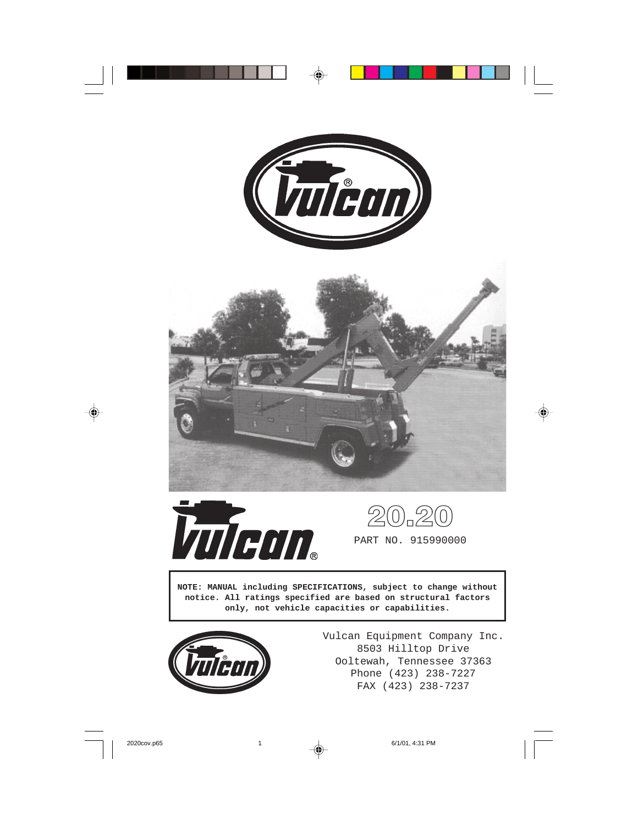







**NOTE: MANUAL including SPECIFICATIONS, subject to change without notice. All ratings specified are based on structural factors only, not vehicle capacities or capabilities.**



Vulcan Equipment Company Inc. 8503 Hilltop Drive Ooltewah, Tennessee 37363 Phone (423) 238-7227 FAX (423) 238-7237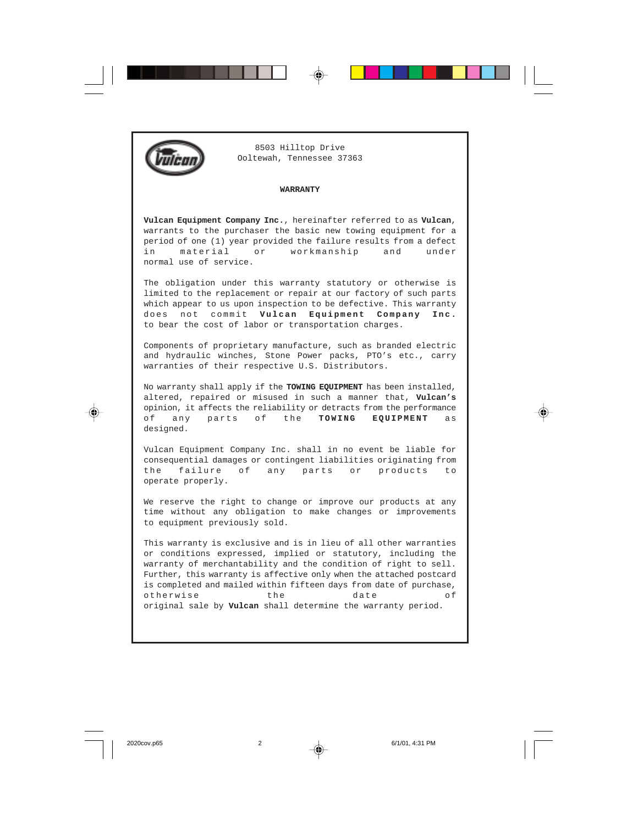

8503 Hilltop Drive Ooltewah, Tennessee 37363

#### **WARRANTY**

**Vulcan Equipment Company Inc.**, hereinafter referred to as **Vulcan**, warrants to the purchaser the basic new towing equipment for a period of one (1) year provided the failure results from a defect in material or workmanship and under normal use of service.

The obligation under this warranty statutory or otherwise is limited to the replacement or repair at our factory of such parts which appear to us upon inspection to be defective. This warranty does not commit **Vulcan Equipment Company Inc.** to bear the cost of labor or transportation charges.

Components of proprietary manufacture, such as branded electric and hydraulic winches, Stone Power packs, PTO's etc., carry warranties of their respective U.S. Distributors.

No warranty shall apply if the **TOWING EQUIPMENT** has been installed, altered, repaired or misused in such a manner that, **Vulcan's** opinion, it affects the reliability or detracts from the performance of any parts of the **TOWING EQUIPMENT** as designed.

Vulcan Equipment Company Inc. shall in no event be liable for consequential damages or contingent liabilities originating from the failure of any parts or products to operate properly.

We reserve the right to change or improve our products at any time without any obligation to make changes or improvements to equipment previously sold.

This warranty is exclusive and is in lieu of all other warranties or conditions expressed, implied or statutory, including the warranty of merchantability and the condition of right to sell. Further, this warranty is affective only when the attached postcard is completed and mailed within fifteen days from date of purchase, otherwise the date of original sale by **Vulcan** shall determine the warranty period.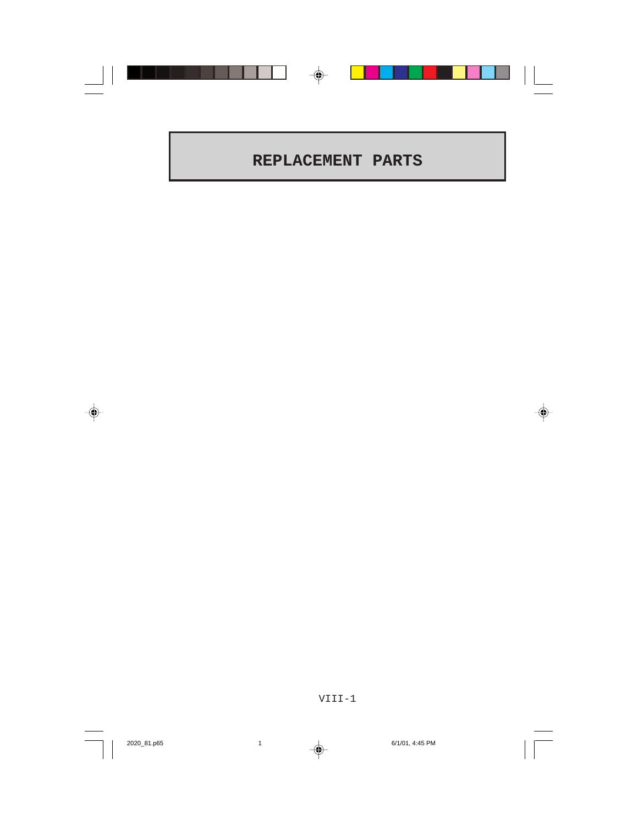# **REPLACEMENT PARTS**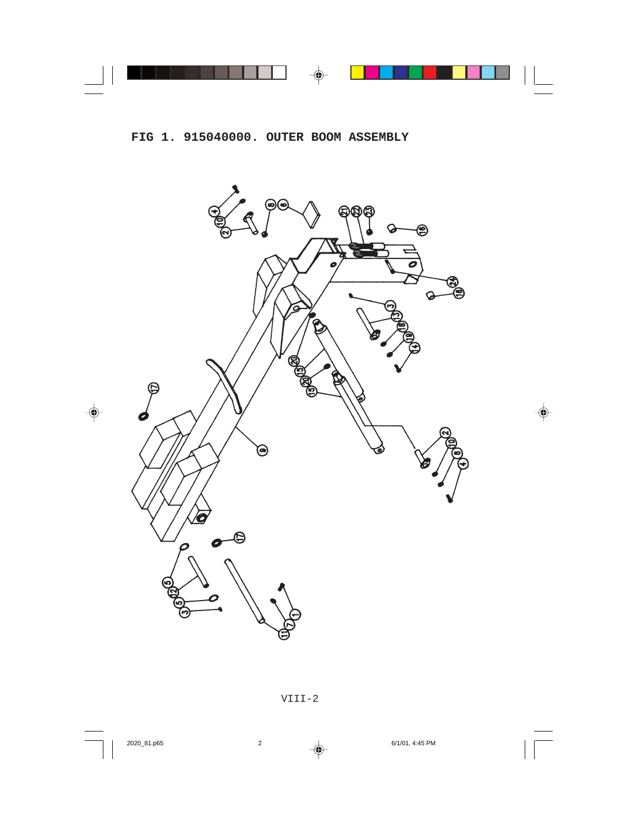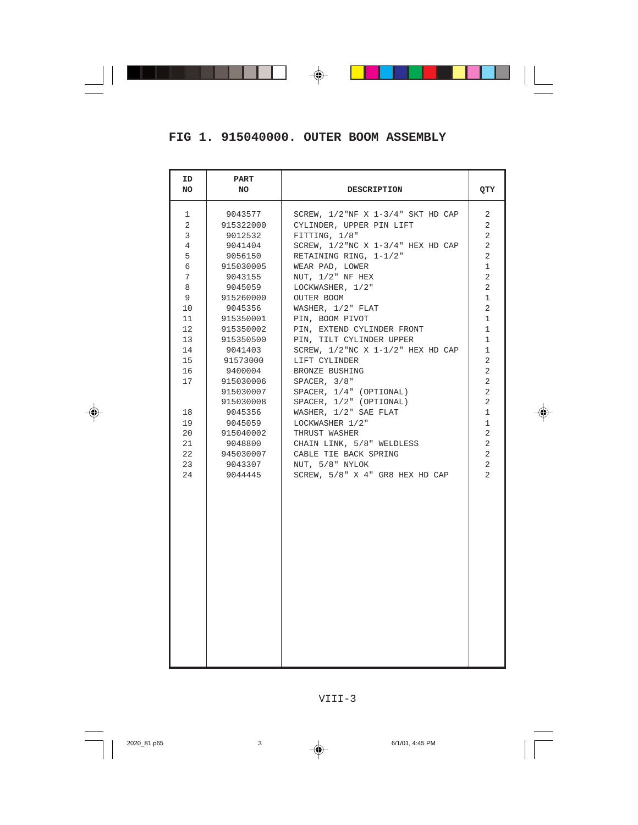#### **FIG 1. 915040000. OUTER BOOM ASSEMBLY**

| ID<br>NO       | PART<br>NO           | <b>DESCRIPTION</b>                                            | QTY                         |
|----------------|----------------------|---------------------------------------------------------------|-----------------------------|
| 1              | 9043577              | SCREW, $1/2$ "NF X $1-3/4$ " SKT HD CAP                       | 2                           |
| 2              | 915322000            | CYLINDER, UPPER PIN LIFT                                      | 2                           |
| 3              | 9012532              | FITTING, 1/8"                                                 | 2                           |
| $\overline{4}$ | 9041404              | SCREW, $1/2$ "NC X $1-3/4$ " HEX HD CAP                       | $\overline{2}$              |
| 5              | 9056150              | RETAINING RING, 1-1/2"                                        | $\overline{2}$              |
| 6              | 915030005            | WEAR PAD, LOWER                                               | $\mathbf 1$                 |
| 7              | 9043155              | NUT, $1/2$ " NF HEX                                           | 2                           |
| 8              | 9045059              | LOCKWASHER, 1/2"                                              | 2                           |
| 9              | 915260000            | OUTER BOOM                                                    | $\mathbf 1$                 |
| 10             | 9045356              | WASHER, 1/2" FLAT                                             | 2                           |
| 11             | 915350001            | PIN, BOOM PIVOT                                               | $\mathbf 1$                 |
| 12<br>13       | 915350002            | PIN, EXTEND CYLINDER FRONT                                    | $\mathbf 1$<br>$\mathbf{1}$ |
| 14             | 915350500<br>9041403 | PIN, TILT CYLINDER UPPER<br>SCREW, 1/2"NC X 1-1/2" HEX HD CAP | $\mathbf{1}$                |
| 15             | 91573000             | LIFT CYLINDER                                                 | 2                           |
| 16             | 9400004              | BRONZE BUSHING                                                | $\overline{2}$              |
| 17             | 915030006            | $SPACER$ , $3/8"$                                             | 2                           |
|                | 915030007            | SPACER, 1/4" (OPTIONAL)                                       | 2                           |
|                | 915030008            | SPACER, 1/2" (OPTIONAL)                                       | 2                           |
| 18             | 9045356              | WASHER, 1/2" SAE FLAT                                         | $\mathbf 1$                 |
| 19             | 9045059              | LOCKWASHER 1/2"                                               | $\mathbf{1}$                |
| 20             | 915040002            | THRUST WASHER                                                 | 2                           |
| 21             | 9048800              | CHAIN LINK, 5/8" WELDLESS                                     | 2                           |
| 22             | 945030007            | CABLE TIE BACK SPRING                                         | 2                           |
| 23             | 9043307              | NUT, 5/8" NYLOK                                               | $\overline{2}$              |
| 24             | 9044445              | SCREW, 5/8" X 4" GR8 HEX HD CAP                               | $\overline{a}$              |
|                |                      |                                                               |                             |
|                |                      |                                                               |                             |
|                |                      |                                                               |                             |
|                |                      |                                                               |                             |
|                |                      |                                                               |                             |
|                |                      |                                                               |                             |
|                |                      |                                                               |                             |
|                |                      |                                                               |                             |
|                |                      |                                                               |                             |
|                |                      |                                                               |                             |
|                |                      |                                                               |                             |
|                |                      |                                                               |                             |
|                |                      |                                                               |                             |
|                |                      |                                                               |                             |
|                |                      |                                                               |                             |
|                |                      |                                                               |                             |
|                |                      |                                                               |                             |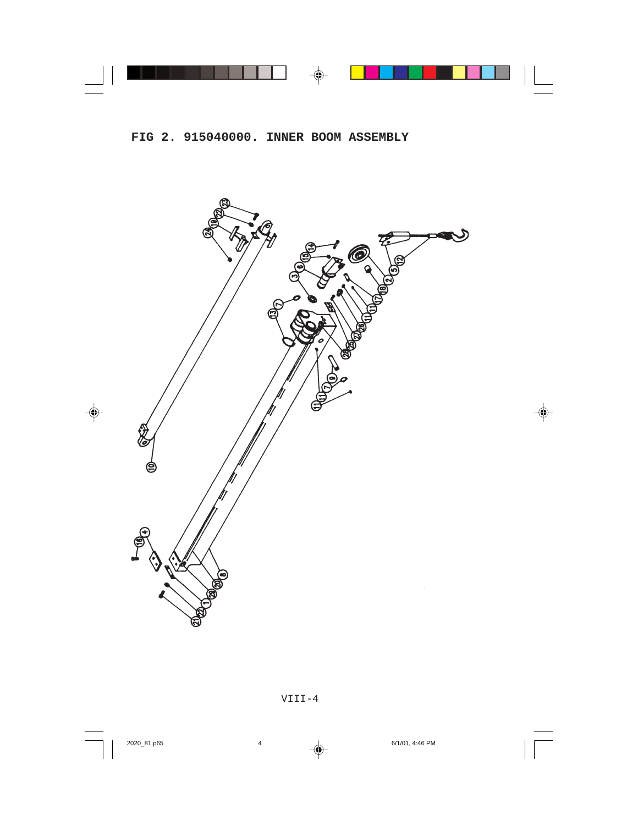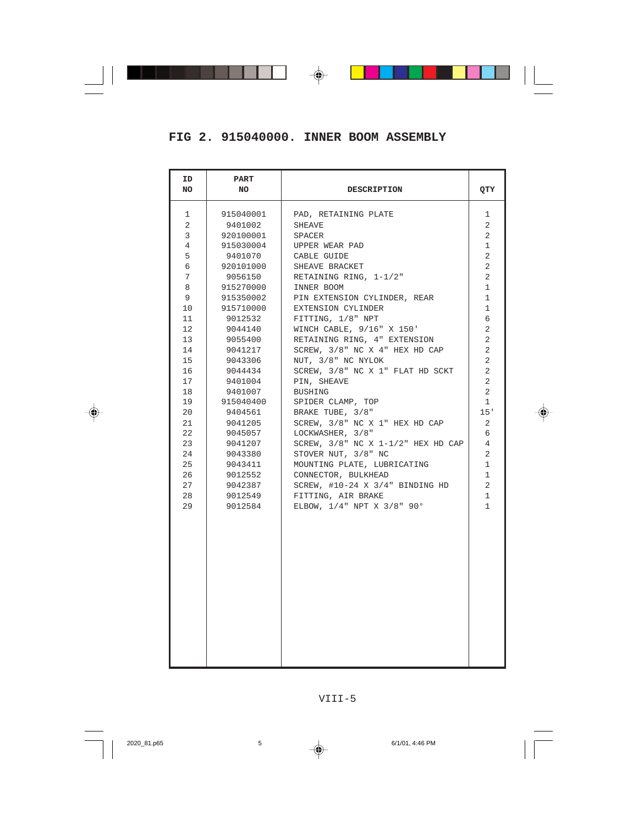#### **FIG 2. 915040000. INNER BOOM ASSEMBLY**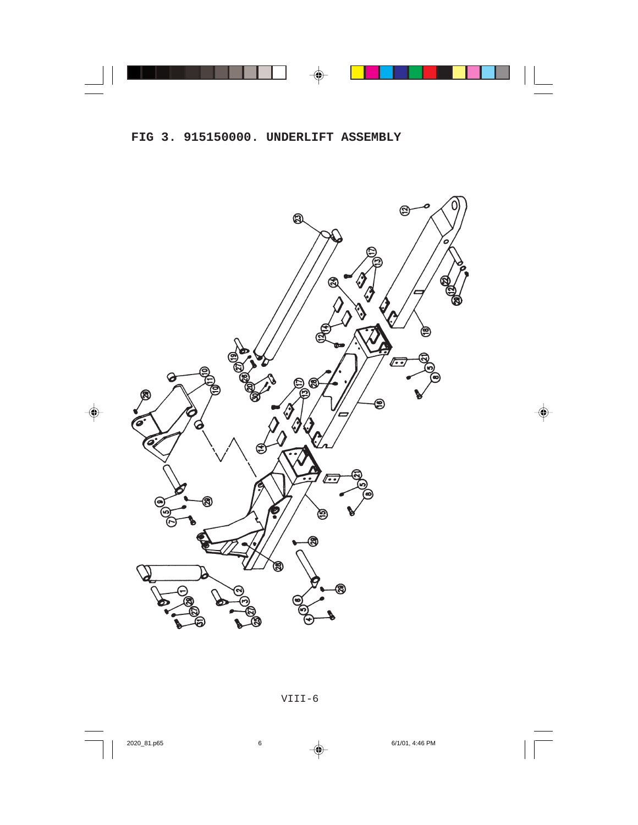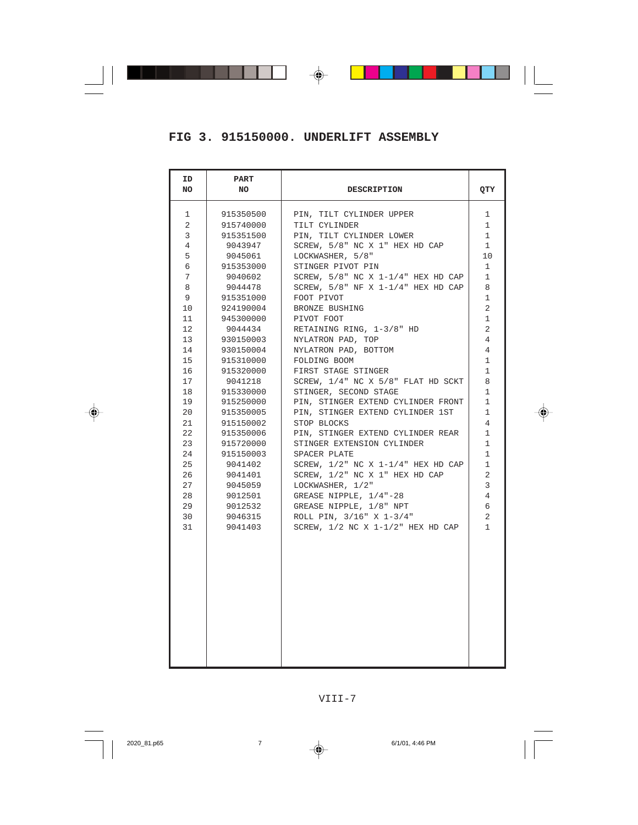#### **FIG 3. 915150000. UNDERLIFT ASSEMBLY**

| ID<br>NO       | PART<br>NO | <b>DESCRIPTION</b>                       | QTY          |
|----------------|------------|------------------------------------------|--------------|
| 1              | 915350500  | PIN, TILT CYLINDER UPPER                 | 1            |
| $\overline{a}$ | 915740000  | TILT CYLINDER                            | 1            |
| 3              | 915351500  | PIN, TILT CYLINDER LOWER                 | 1            |
| 4              | 9043947    | SCREW, 5/8" NC X 1" HEX HD CAP           | $\mathbf{1}$ |
| 5              | 9045061    | LOCKWASHER, 5/8"                         | 10           |
| 6              | 915353000  | STINGER PIVOT PIN                        | $\mathbf 1$  |
| 7              | 9040602    | SCREW, $5/8$ " NC X $1-1/4$ " HEX HD CAP | $\mathbf{1}$ |
| 8              | 9044478    | SCREW, $5/8$ " NF X $1-1/4$ " HEX HD CAP | 8            |
| 9              | 915351000  | FOOT PIVOT                               | 1            |
| 10             | 924190004  | BRONZE BUSHING                           | 2            |
| 11             | 945300000  | PIVOT FOOT                               | $\mathbf 1$  |
| 12             | 9044434    | RETAINING RING, 1-3/8" HD                | 2            |
| 13             | 930150003  | NYLATRON PAD, TOP                        | 4            |
| 14             | 930150004  | NYLATRON PAD, BOTTOM                     | 4            |
| 15             | 915310000  | FOLDING BOOM                             | $\mathbf 1$  |
| 16             | 915320000  | FIRST STAGE STINGER                      | $\mathbf 1$  |
| 17             | 9041218    | SCREW, 1/4" NC X 5/8" FLAT HD SCKT       | 8            |
| 18             | 915330000  | STINGER, SECOND STAGE                    | $\mathbf{1}$ |
| 19             | 915250000  | PIN, STINGER EXTEND CYLINDER FRONT       | $\mathbf{1}$ |
| 20             | 915350005  | PIN, STINGER EXTEND CYLINDER 1ST         | $\mathbf 1$  |
| 21             | 915150002  | STOP BLOCKS                              | 4            |
| 22             | 915350006  | PIN, STINGER EXTEND CYLINDER REAR        | 1            |
| 23             | 915720000  | STINGER EXTENSION CYLINDER               | $\mathbf{1}$ |
| 24             | 915150003  | SPACER PLATE                             | 1            |
| 25             | 9041402    | SCREW, $1/2$ " NC X $1-1/4$ " HEX HD CAP | 1            |
| 26             | 9041401    | SCREW, 1/2" NC X 1" HEX HD CAP           | 2            |
| 27             | 9045059    | LOCKWASHER, 1/2"                         | 3            |
| 28             | 9012501    | GREASE NIPPLE, 1/4"-28                   | 4            |
| 29             | 9012532    | GREASE NIPPLE, 1/8" NPT                  | б            |
| 30             | 9046315    | ROLL PIN, 3/16" X 1-3/4"                 | 2            |
| 31             | 9041403    | SCREW, $1/2$ NC X $1-1/2$ " HEX HD CAP   | $\mathbf{1}$ |
|                |            |                                          |              |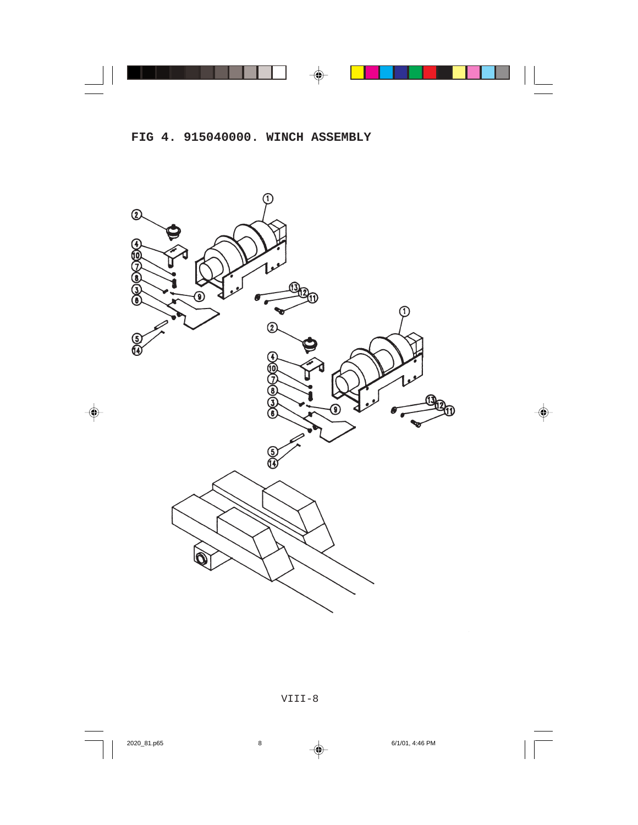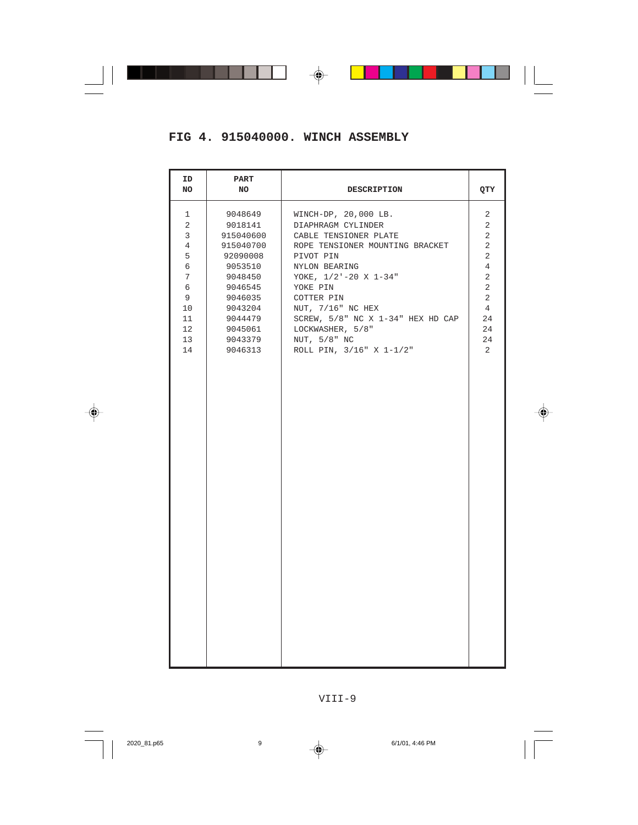#### **FIG 4. 915040000. WINCH ASSEMBLY**

| ID<br>NO | PART<br>NO | <b>DESCRIPTION</b>                | QTY            |
|----------|------------|-----------------------------------|----------------|
| 1        | 9048649    | WINCH-DP, 20,000 LB.              | 2              |
| 2        | 9018141    | DIAPHRAGM CYLINDER                | 2              |
| 3        | 915040600  | CABLE TENSIONER PLATE             | $\overline{2}$ |
| 4        | 915040700  | ROPE TENSIONER MOUNTING BRACKET   | 2              |
| 5        | 92090008   | PIVOT PIN                         | 2              |
| 6        | 9053510    | NYLON BEARING                     | 4              |
| 7        | 9048450    | YOKE, $1/2$ '-20 X $1-34$ "       | 2              |
| 6        | 9046545    | YOKE PIN                          | 2              |
| 9        | 9046035    | COTTER PIN                        | 2              |
| 10       | 9043204    | NUT, 7/16" NC HEX                 | $\overline{4}$ |
| 11       | 9044479    | SCREW, 5/8" NC X 1-34" HEX HD CAP | 24             |
| 12       | 9045061    | LOCKWASHER, 5/8"                  | 24             |
| 13       | 9043379    | NUT, 5/8" NC                      | 24             |
| 14       | 9046313    | ROLL PIN, 3/16" X 1-1/2"          | $\overline{a}$ |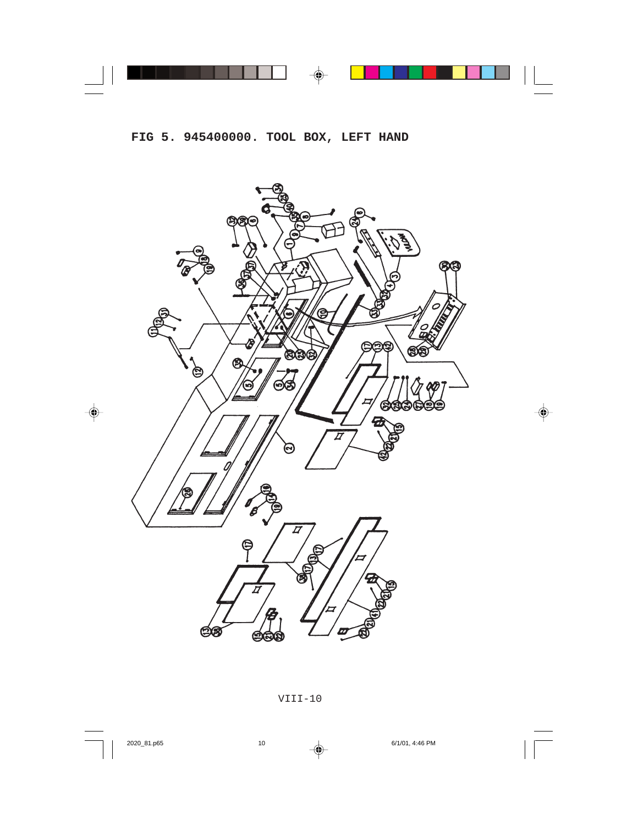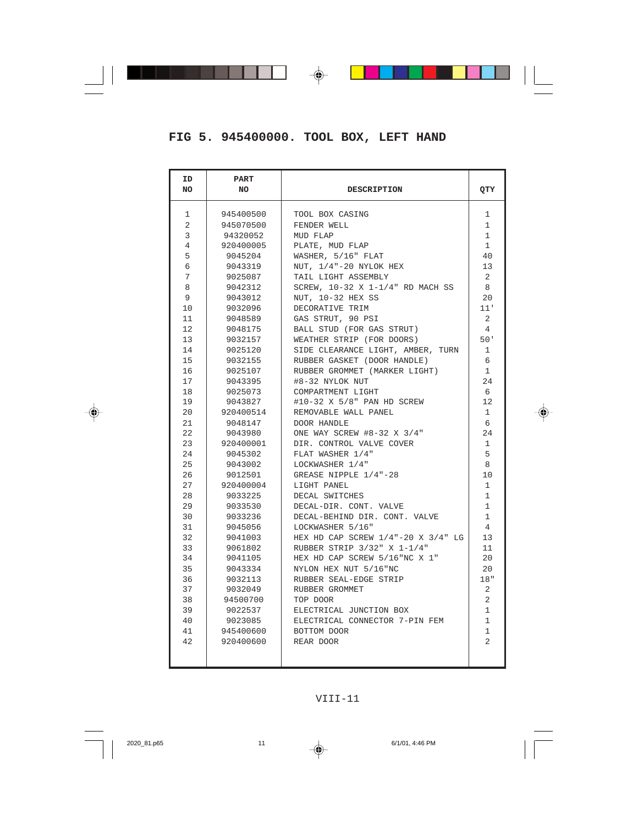## **FIG 5. 945400000. TOOL BOX, LEFT HAND**

| ID<br>NO        | <b>PART</b><br>NO | <b>DESCRIPTION</b>                 | QTY            |
|-----------------|-------------------|------------------------------------|----------------|
|                 |                   |                                    |                |
| 1               | 945400500         | TOOL BOX CASING                    | 1              |
| 2               | 945070500         | FENDER WELL                        | $\mathbf{1}$   |
| 3               | 94320052          | MUD FLAP                           | $\mathbf{1}$   |
| 4               | 920400005         | PLATE, MUD FLAP                    | $\mathbf{1}$   |
| 5               | 9045204           | WASHER, 5/16" FLAT                 | 40             |
| 6               | 9043319           | NUT, 1/4"-20 NYLOK HEX             | 13             |
| 7               | 9025087           | TAIL LIGHT ASSEMBLY                | 2              |
| 8               | 9042312           | SCREW, 10-32 X 1-1/4" RD MACH SS   | 8              |
| 9               | 9043012           | NUT, 10-32 HEX SS                  | 20             |
| 10              | 9032096           | DECORATIVE TRIM                    | 11'            |
| 11              | 9048589           | GAS STRUT, 90 PSI                  | $\overline{2}$ |
| 12              | 9048175           | BALL STUD (FOR GAS STRUT)          | 4              |
| 13              | 9032157           | WEATHER STRIP (FOR DOORS)          | 50'            |
| 14              | 9025120           | SIDE CLEARANCE LIGHT, AMBER, TURN  | 1              |
| 15              | 9032155           | RUBBER GASKET (DOOR HANDLE)        | 6              |
| 16              | 9025107           | RUBBER GROMMET (MARKER LIGHT)      | $\mathbf{1}$   |
| 17              | 9043395           | #8-32 NYLOK NUT                    | 24             |
| 18              | 9025073           | COMPARTMENT LIGHT                  | 6              |
| 19              | 9043827           | #10-32 X 5/8" PAN HD SCREW         | 12             |
| 20 <sub>o</sub> | 920400514         | REMOVABLE WALL PANEL               | $\mathbf{1}$   |
| 21              | 9048147           | DOOR HANDLE                        | 6              |
| 22              | 9043980           | ONE WAY SCREW #8-32 X 3/4"         | 24             |
| 23              | 920400001         | DIR. CONTROL VALVE COVER           | 1              |
| 24              | 9045302           | FLAT WASHER 1/4"                   | 5              |
| 25              | 9043002           | LOCKWASHER 1/4"                    | 8              |
| 26              | 9012501           | GREASE NIPPLE 1/4"-28              | 10             |
| 27              | 920400004         | LIGHT PANEL                        | $\mathbf{1}$   |
| 28              | 9033225           | DECAL SWITCHES                     | $\mathbf{1}$   |
| 29              | 9033530           | DECAL-DIR. CONT. VALVE             | $\mathbf{1}$   |
| 30              | 9033236           | DECAL-BEHIND DIR. CONT. VALVE      | $\mathbf 1$    |
| 31              | 9045056           | LOCKWASHER 5/16"                   | 4              |
| 32              | 9041003           | HEX HD CAP SCREW 1/4"-20 X 3/4" LG | 13             |
| 33              | 9061802           | RUBBER STRIP 3/32" X 1-1/4"        | 11             |
| 34              | 9041105           | HEX HD CAP SCREW 5/16"NC X 1"      | 20             |
| 35              | 9043334           | NYLON HEX NUT 5/16"NC              | 20             |
| 36              | 9032113           | RUBBER SEAL-EDGE STRIP             | 18"            |
| 37              | 9032049           | RUBBER GROMMET                     | 2              |
| 38              | 94500700          | TOP DOOR                           | 2              |
| 39              | 9022537           | ELECTRICAL JUNCTION BOX            | $\mathbf{1}$   |
| 40              | 9023085           | ELECTRICAL CONNECTOR 7-PIN FEM     | $\mathbf{1}$   |
| 41              | 945400600         | BOTTOM DOOR                        | 1              |
| 42              | 920400600         | REAR DOOR                          | $\overline{2}$ |
|                 |                   |                                    |                |
|                 |                   |                                    |                |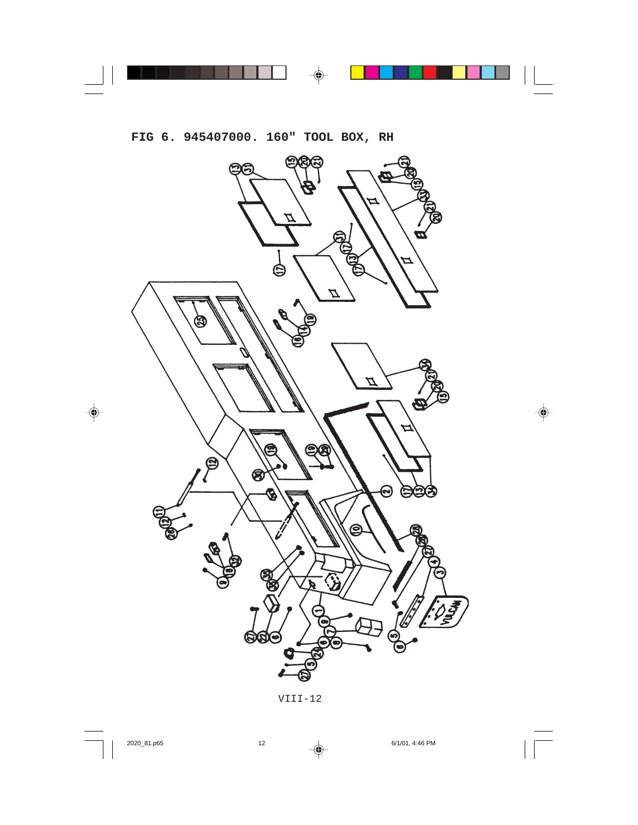### **FIG 6. 945407000. 160" TOOL BOX, RH**

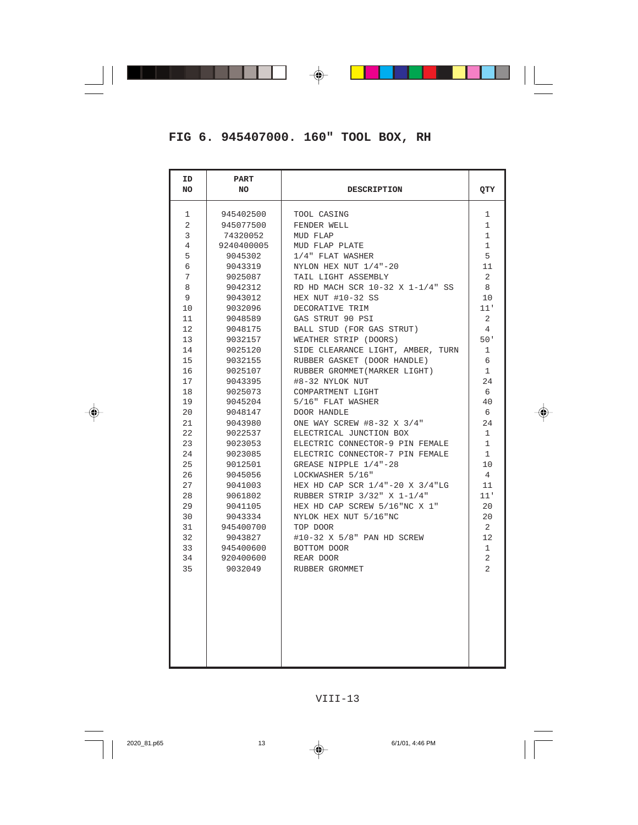## **FIG 6. 945407000. 160" TOOL BOX, RH**

| ID<br>NO | PART<br>NO         | <b>DESCRIPTION</b>                | QTY            |
|----------|--------------------|-----------------------------------|----------------|
|          | 945402500          |                                   |                |
| 1<br>2   | 945077500          | TOOL CASING                       | 1<br>1         |
| 3        | 74320052           | FENDER WELL<br>MUD FLAP           | $\mathbf{1}$   |
| 4        | 9240400005         | MUD FLAP PLATE                    | $\mathbf 1$    |
| 5        | 9045302            | 1/4" FLAT WASHER                  | 5              |
| 6        |                    | NYLON HEX NUT 1/4"-20             | 11             |
| 7        | 9043319<br>9025087 | TAIL LIGHT ASSEMBLY               | 2              |
| 8        | 9042312            | RD HD MACH SCR 10-32 X 1-1/4" SS  | 8              |
| 9        | 9043012            | HEX NUT #10-32 SS                 | 10             |
| 10       | 9032096            | DECORATIVE TRIM                   | 11'            |
| 11       | 9048589            | GAS STRUT 90 PSI                  | 2              |
| 12       | 9048175            | BALL STUD (FOR GAS STRUT)         | 4              |
| 13       | 9032157            | WEATHER STRIP (DOORS)             | 50'            |
| 14       | 9025120            | SIDE CLEARANCE LIGHT, AMBER, TURN | 1              |
| 15       | 9032155            | RUBBER GASKET (DOOR HANDLE)       | 6              |
| 16       | 9025107            | RUBBER GROMMET (MARKER LIGHT)     | 1              |
| 17       | 9043395            | #8-32 NYLOK NUT                   | 24             |
| 18       | 9025073            | COMPARTMENT LIGHT                 | 6              |
| 19       | 9045204            | 5/16" FLAT WASHER                 | 40             |
| 20       | 9048147            | DOOR HANDLE                       | 6              |
| 21       | 9043980            | ONE WAY SCREW #8-32 X 3/4"        | 24             |
| 22       | 9022537            | ELECTRICAL JUNCTION BOX           | $\mathbf{1}$   |
| 23       | 9023053            | ELECTRIC CONNECTOR-9 PIN FEMALE   | $\mathbf{1}$   |
| 24       | 9023085            | ELECTRIC CONNECTOR-7 PIN FEMALE   | 1              |
| 25       | 9012501            | GREASE NIPPLE 1/4"-28             | 10             |
| 26       | 9045056            | LOCKWASHER 5/16"                  | $\overline{4}$ |
| 27       | 9041003            | HEX HD CAP SCR 1/4"-20 X 3/4"LG   | 11             |
| 28       | 9061802            | RUBBER STRIP $3/32"$ X $1-1/4"$   | 11'            |
| 29       | 9041105            | HEX HD CAP SCREW 5/16"NC X 1"     | 20             |
| 30       | 9043334            | NYLOK HEX NUT 5/16"NC             | 20             |
| 31       | 945400700          | TOP DOOR                          | 2              |
| 32       | 9043827            | #10-32 X 5/8" PAN HD SCREW        | 12             |
| 33       | 945400600          | BOTTOM DOOR                       | $\mathbf{1}$   |
| 34       | 920400600          | REAR DOOR                         | 2              |
| 35       | 9032049            | RUBBER GROMMET                    | $\overline{2}$ |
|          |                    |                                   |                |
|          |                    |                                   |                |
|          |                    |                                   |                |
|          |                    |                                   |                |
|          |                    |                                   |                |
|          |                    |                                   |                |
|          |                    |                                   |                |
|          |                    |                                   |                |
|          |                    |                                   |                |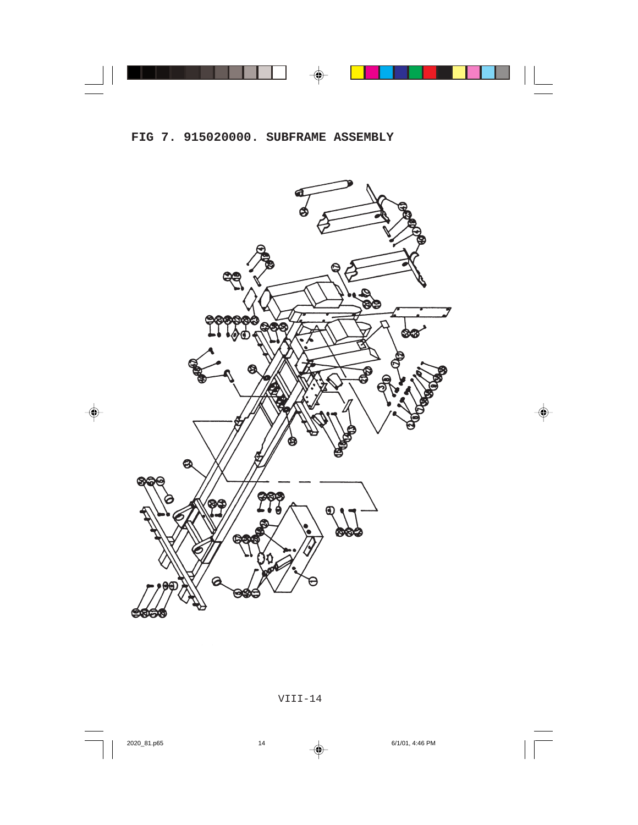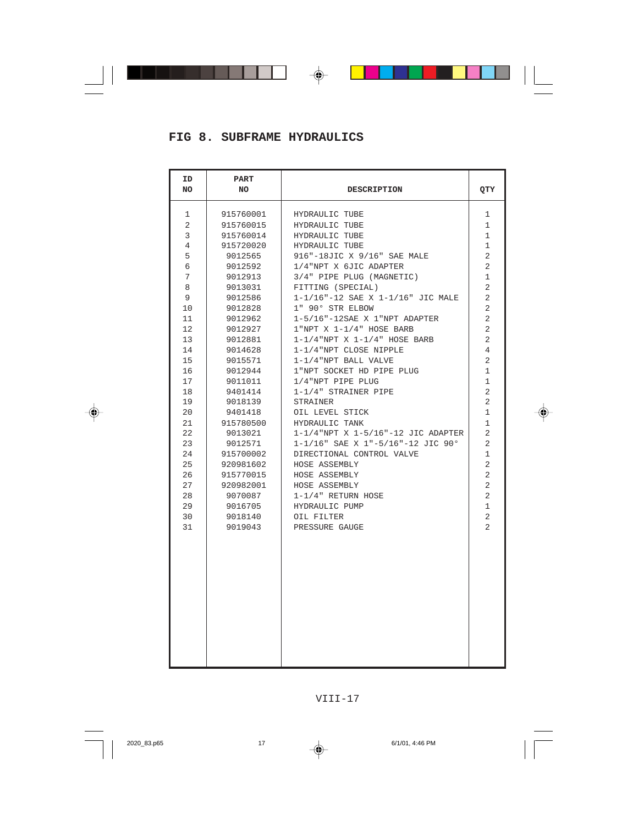| ID<br>NO       | <b>PART</b><br>NO | <b>DESCRIPTION</b>                      | QTY            |
|----------------|-------------------|-----------------------------------------|----------------|
| 1              | 915760001         | HYDRAULIC TUBE                          | 1              |
| $\overline{2}$ | 915760015         | HYDRAULIC TUBE                          | 1              |
| 3              | 915760014         | HYDRAULIC TUBE                          | $\mathbf{1}$   |
| $\overline{4}$ | 915720020         | HYDRAULIC TUBE                          | 1              |
| 5              | 9012565           | 916"-18JIC X 9/16" SAE MALE             | 2              |
| б              | 9012592           | 1/4"NPT X 6JIC ADAPTER                  | 2              |
| 7              | 9012913           | 3/4" PIPE PLUG (MAGNETIC)               | $\mathbf{1}$   |
| 8              | 9013031           | FITTING (SPECIAL)                       | 2              |
| 9              | 9012586           | 1-1/16"-12 SAE X 1-1/16" JIC MALE       | $\overline{2}$ |
| 10             | 9012828           | 1" 90° STR ELBOW                        | $\overline{2}$ |
| 11             | 9012962           | $1-5/16$ "- $12$ SAE X $1$ "NPT ADAPTER | 2              |
| 12             | 9012927           | $1"NPT X 1-1/4" HOSE BARB$              | 2              |
| 13             | 9012881           | $1-1/4$ "NPT X $1-1/4$ " HOSE BARB      | 2              |
| 14             | 9014628           | 1-1/4"NPT CLOSE NIPPLE                  | 4              |
| 15             | 9015571           | 1-1/4"NPT BALL VALVE                    | $\overline{2}$ |
| 16             | 9012944           | 1"NPT SOCKET HD PIPE PLUG               | $\mathbf 1$    |
| 17             | 9011011           | 1/4"NPT PIPE PLUG                       | $\mathbf{1}$   |
| 18             | 9401414           | 1-1/4" STRAINER PIPE                    | 2              |
| 19             | 9018139           | STRAINER                                | $\overline{2}$ |
| 20             | 9401418           | OIL LEVEL STICK                         | $\mathbf{1}$   |
| 21             | 915780500         | HYDRAULIC TANK                          | $\mathbf 1$    |
| 22             | 9013021           | 1-1/4"NPT X 1-5/16"-12 JIC ADAPTER      | $\overline{2}$ |
| 23             | 9012571           | 1-1/16" SAE X 1"-5/16"-12 JIC 90°       | 2              |
| 24             | 915700002         | DIRECTIONAL CONTROL VALVE               | 1              |
| 25             | 920981602         | HOSE ASSEMBLY                           | $\overline{2}$ |
| 26             | 915770015         | HOSE ASSEMBLY                           | 2              |
| 27             | 920982001         | HOSE ASSEMBLY                           | 2              |
| 28             | 9070087           | 1-1/4" RETURN HOSE                      | $\overline{2}$ |
| 29             | 9016705           | HYDRAULIC PUMP                          | $\mathbf 1$    |
| 30             | 9018140           | OIL FILTER                              | 2              |
| 31             | 9019043           | PRESSURE GAUGE                          | $\overline{2}$ |
|                |                   |                                         |                |
|                |                   |                                         |                |
|                |                   |                                         |                |
|                |                   |                                         |                |
|                |                   |                                         |                |
|                |                   |                                         |                |
|                |                   |                                         |                |
|                |                   |                                         |                |
|                |                   |                                         |                |
|                |                   |                                         |                |
|                |                   |                                         |                |
|                |                   |                                         |                |
|                |                   |                                         |                |
|                |                   |                                         |                |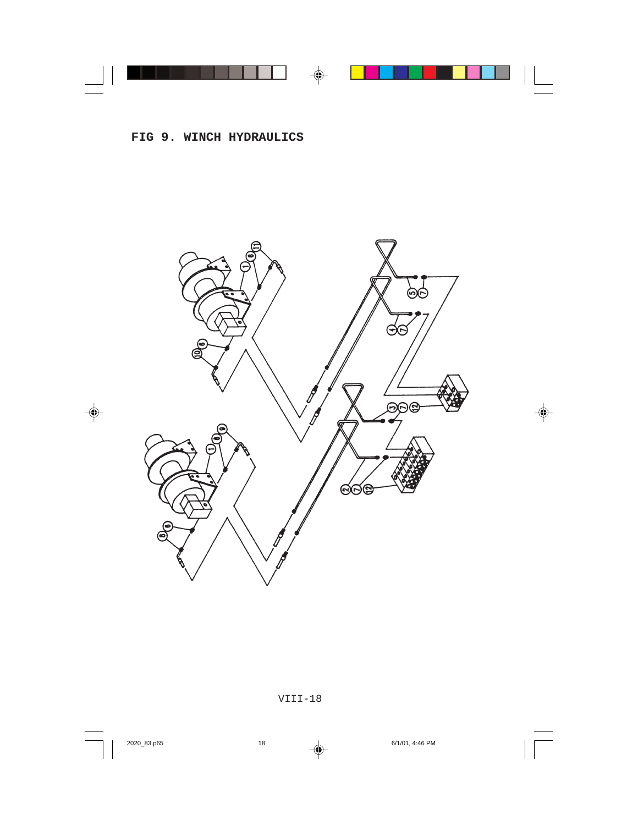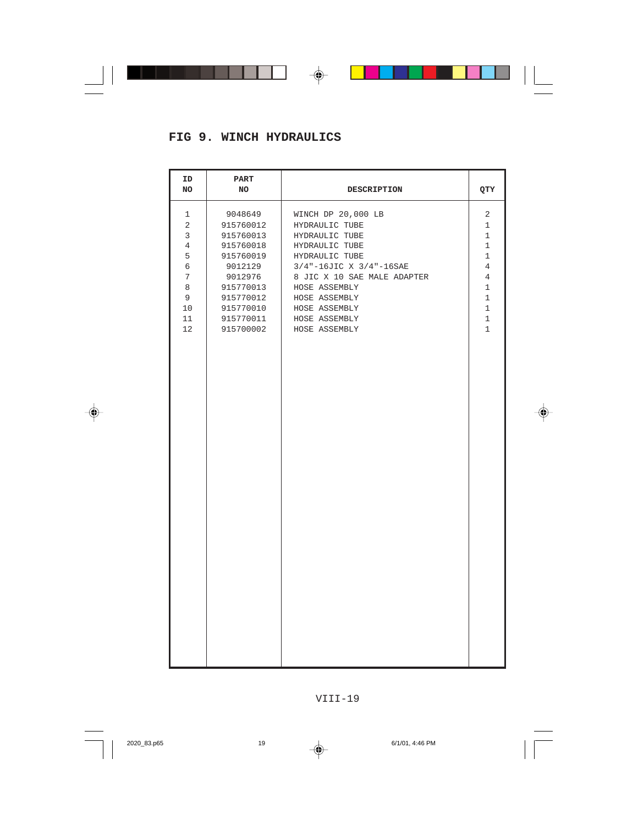| ID<br>NO       | PART<br>NO | <b>DESCRIPTION</b>            | QTY            |
|----------------|------------|-------------------------------|----------------|
| 1              | 9048649    | WINCH DP 20,000 LB            | 2              |
| 2              | 915760012  | HYDRAULIC TUBE                | $\mathbf 1$    |
| 3              | 915760013  | HYDRAULIC TUBE                | $\mathbf{1}$   |
| $\overline{4}$ | 915760018  | HYDRAULIC TUBE                | $\mathbf 1$    |
| 5              | 915760019  | HYDRAULIC TUBE                | $\mathbf 1$    |
| б              | 9012129    | $3/4$ "-16JIC X $3/4$ "-16SAE | 4              |
| $\sqrt{ }$     | 9012976    | 8 JIC X 10 SAE MALE ADAPTER   | $\overline{4}$ |
| 8              | 915770013  | HOSE ASSEMBLY                 | $\mathbf 1$    |
| 9              | 915770012  | HOSE ASSEMBLY                 | $\mathbf{1}$   |
| 10             | 915770010  | HOSE ASSEMBLY                 | $1\,$          |
| 11             | 915770011  | HOSE ASSEMBLY                 | $\mathbf 1$    |
| 12             | 915700002  | HOSE ASSEMBLY                 | $\mathbf{1}$   |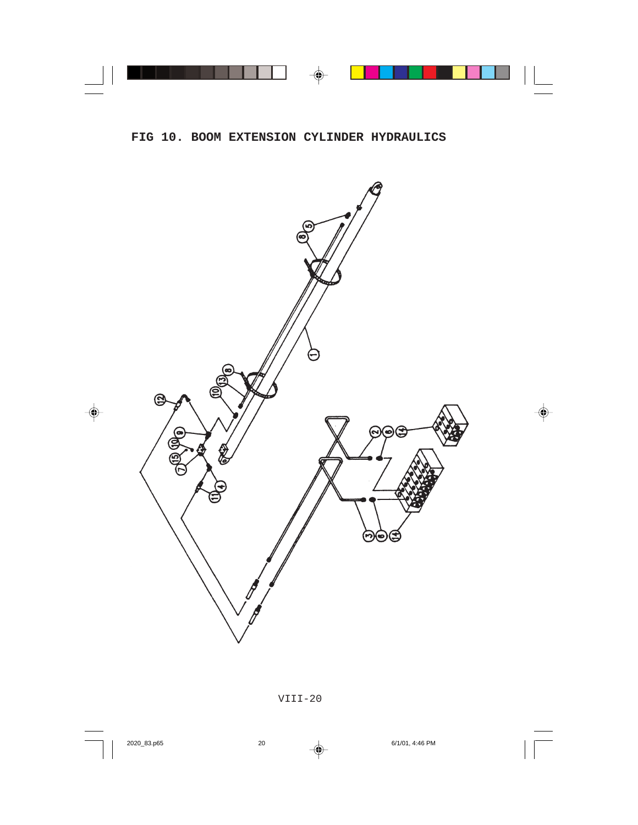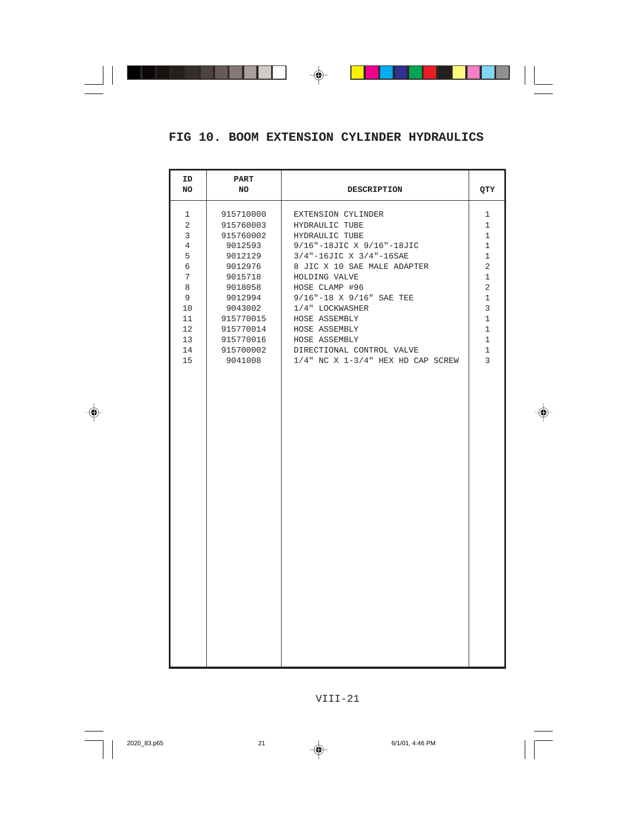#### **FIG 10. BOOM EXTENSION CYLINDER HYDRAULICS**

| ID<br>NO | PART<br>NO | <b>DESCRIPTION</b>                      | QTY         |
|----------|------------|-----------------------------------------|-------------|
| 1        | 915710000  | EXTENSION CYLINDER                      | $\mathbf 1$ |
| 2        | 915760003  | HYDRAULIC TUBE                          | $\mathbf 1$ |
| 3        | 915760002  | HYDRAULIC TUBE                          | $\mathbf 1$ |
| 4        | 9012593    | 9/16"-18JIC X 9/16"-18JIC               | $\mathbf 1$ |
| 5        | 9012129    | 3/4"-16JIC X 3/4"-16SAE                 | $\mathbf 1$ |
| 6        | 9012976    | 8 JIC X 10 SAE MALE ADAPTER             | 2           |
| 7        | 9015718    | HOLDING VALVE                           | $\mathbf 1$ |
| 8        | 9018058    | HOSE CLAMP #96                          | 2           |
| 9        | 9012994    | 9/16"-18 X 9/16" SAE TEE                | $\mathbf 1$ |
| 10       | 9043002    | 1/4" LOCKWASHER                         | 3           |
| 11       | 915770015  | HOSE ASSEMBLY                           | $\mathbf 1$ |
| 12       | 915770014  | HOSE ASSEMBLY                           | $\mathbf 1$ |
| 13       | 915770016  | HOSE ASSEMBLY                           | $\mathbf 1$ |
| 14       | 915700002  | DIRECTIONAL CONTROL VALVE               | $\mathbf 1$ |
| 15       | 9041008    | $1/4$ " NC X $1-3/4$ " HEX HD CAP SCREW | 3           |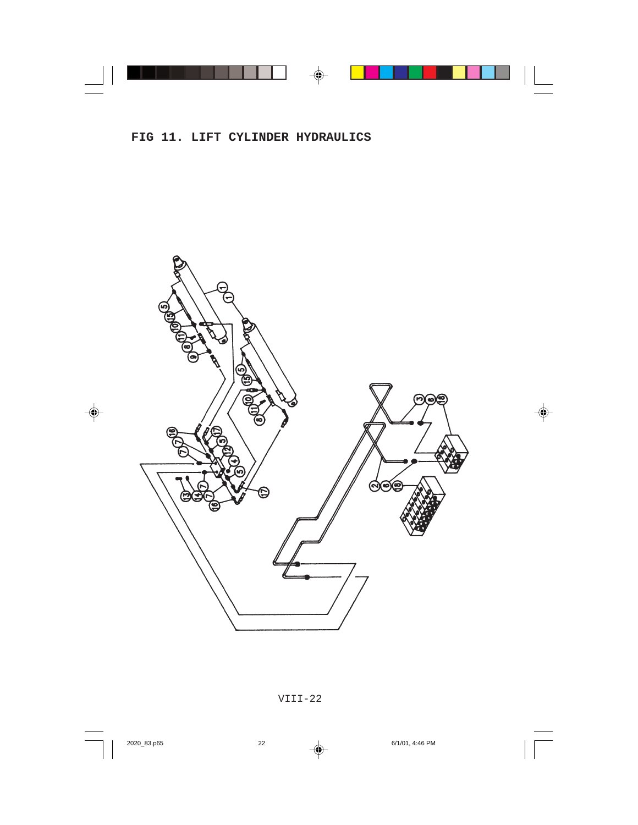#### **FIG 11. LIFT CYLINDER HYDRAULICS**

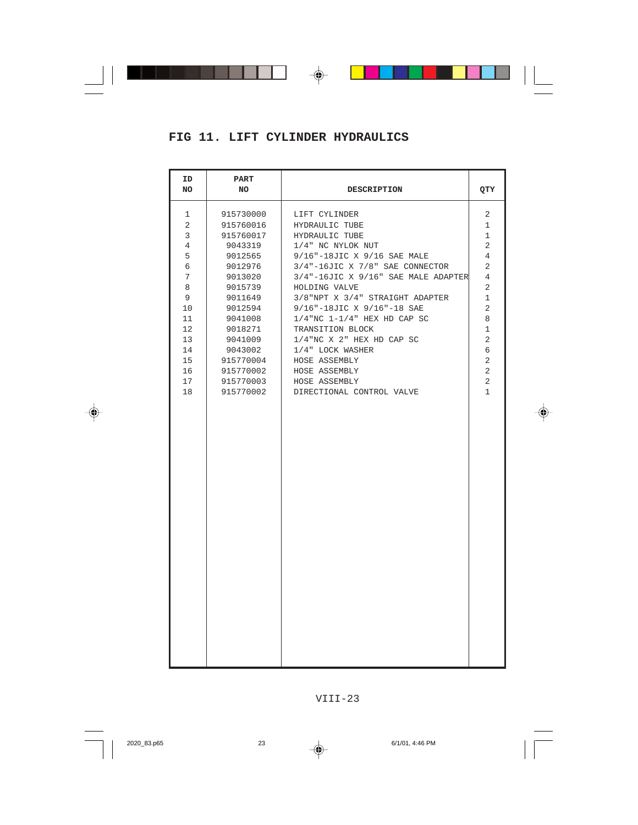#### **FIG 11. LIFT CYLINDER HYDRAULICS**

| ID<br>NO | PART<br>NO | <b>DESCRIPTION</b>                  | QTY            |
|----------|------------|-------------------------------------|----------------|
| 1        | 915730000  | LIFT CYLINDER                       | 2              |
| 2        | 915760016  | HYDRAULIC TUBE                      | 1              |
| 3        | 915760017  | HYDRAULIC TUBE                      | $\mathbf{1}$   |
| 4        | 9043319    | 1/4" NC NYLOK NUT                   | 2              |
| 5        | 9012565    | 9/16"-18JIC X 9/16 SAE MALE         | $\overline{4}$ |
| 6        | 9012976    | 3/4"-16JIC X 7/8" SAE CONNECTOR     | 2              |
| 7        | 9013020    | 3/4"-16JIC X 9/16" SAE MALE ADAPTER | 4              |
| 8        | 9015739    | HOLDING VALVE                       | 2              |
| 9        | 9011649    | 3/8"NPT X 3/4" STRAIGHT ADAPTER     | 1              |
| 10       | 9012594    | 9/16"-18JIC X 9/16"-18 SAE          | 2              |
| 11       | 9041008    | $1/4$ "NC $1-1/4$ " HEX HD CAP SC   | 8              |
| 12       | 9018271    | TRANSITION BLOCK                    | $\mathbf 1$    |
| 13       | 9041009    | $1/4$ "NC X $2$ " HEX HD CAP SC     | 2              |
| 14       | 9043002    | 1/4" LOCK WASHER                    | 6              |
| 15       | 915770004  | HOSE ASSEMBLY                       | 2              |
| 16       | 915770002  | HOSE ASSEMBLY                       | 2              |
| 17       | 915770003  | HOSE ASSEMBLY                       | $\overline{c}$ |
| 18       | 915770002  | DIRECTIONAL CONTROL VALVE           | $\mathbf 1$    |
|          |            |                                     |                |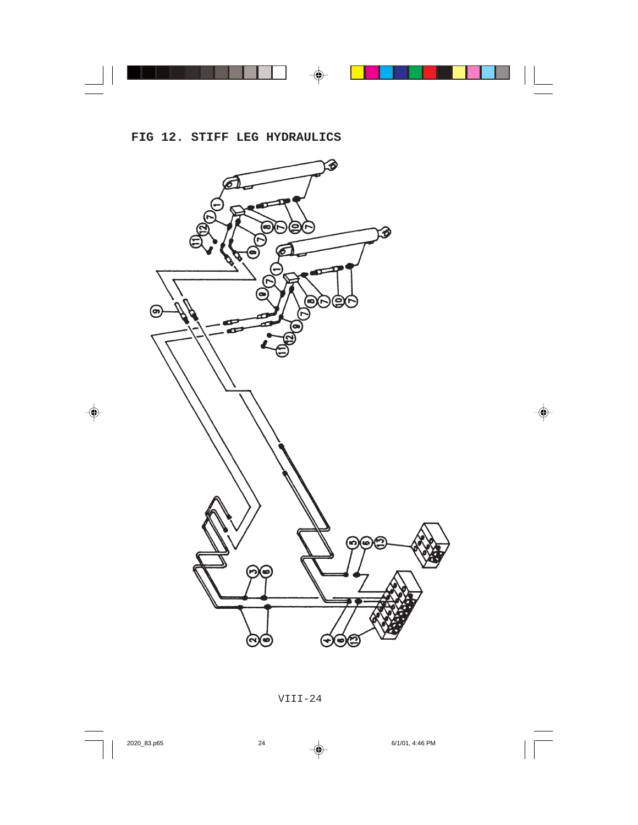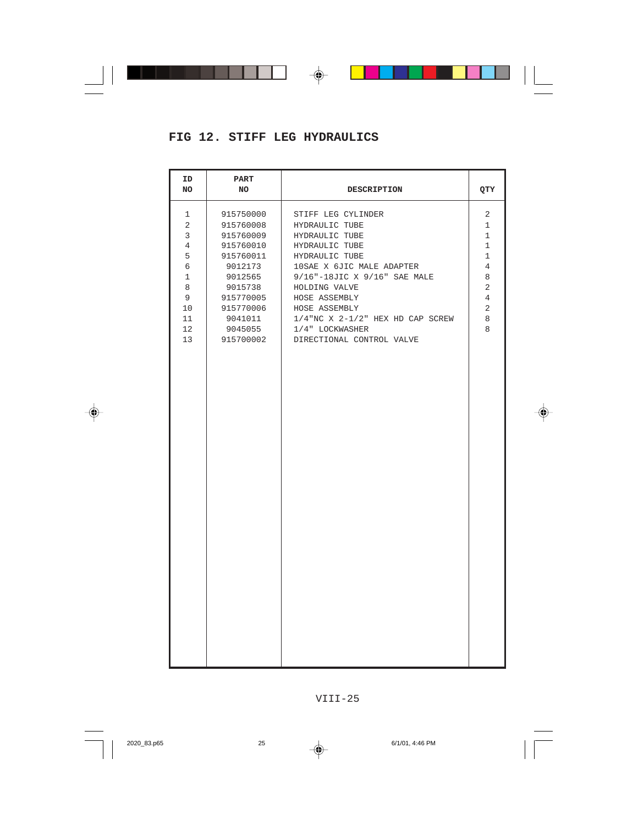| ID<br>NO                                                                    | PART<br>NO                                                                                                                                                  | DESCRIPTION                                                                                                                                                                                                                                                                                          | QTY                                                                                                                                      |
|-----------------------------------------------------------------------------|-------------------------------------------------------------------------------------------------------------------------------------------------------------|------------------------------------------------------------------------------------------------------------------------------------------------------------------------------------------------------------------------------------------------------------------------------------------------------|------------------------------------------------------------------------------------------------------------------------------------------|
| 1<br>2<br>3<br>4<br>5<br>6<br>$\mathbf 1$<br>8<br>9<br>10<br>11<br>12<br>13 | 915750000<br>915760008<br>915760009<br>915760010<br>915760011<br>9012173<br>9012565<br>9015738<br>915770005<br>915770006<br>9041011<br>9045055<br>915700002 | STIFF LEG CYLINDER<br>HYDRAULIC TUBE<br>HYDRAULIC TUBE<br>HYDRAULIC TUBE<br>HYDRAULIC TUBE<br>10SAE X 6JIC MALE ADAPTER<br>9/16"-18JIC X 9/16" SAE MALE<br>HOLDING VALVE<br>HOSE ASSEMBLY<br>HOSE ASSEMBLY<br>$1/4$ "NC X $2-1/2$ " HEX HD CAP SCREW<br>1/4" LOCKWASHER<br>DIRECTIONAL CONTROL VALVE | 2<br>$\mathbf{1}$<br>$\mathbf 1$<br>$\mathbf 1$<br>$\mathbf 1$<br>$\overline{4}$<br>8<br>2<br>$\overline{4}$<br>$\overline{c}$<br>8<br>8 |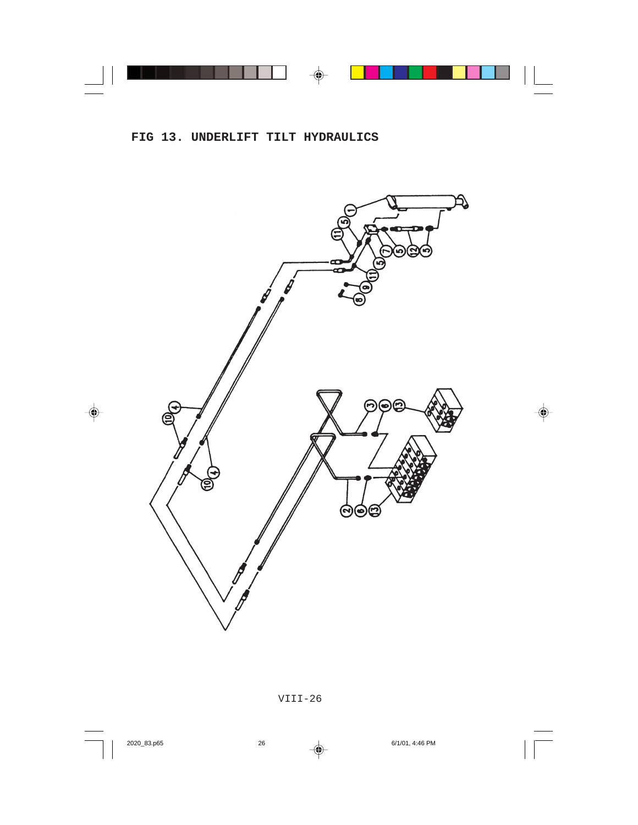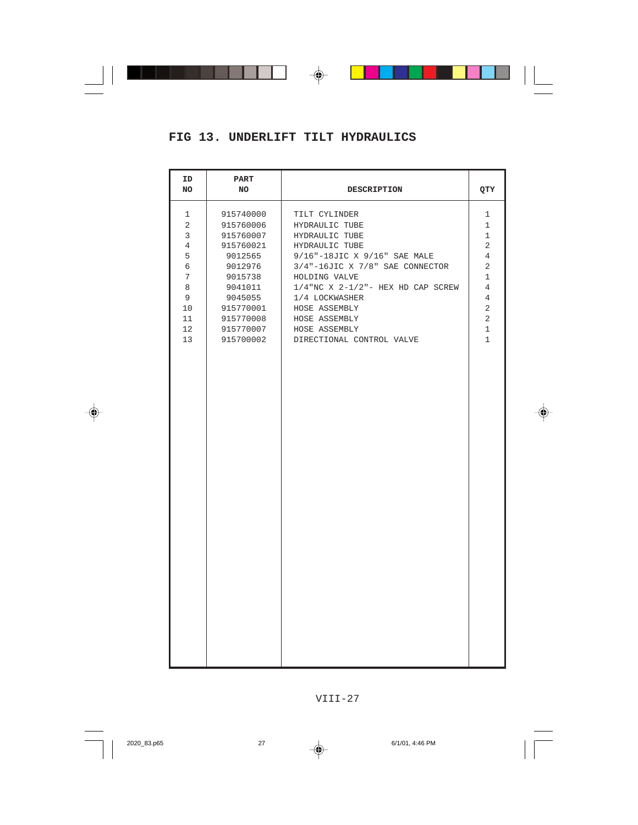#### **FIG 13. UNDERLIFT TILT HYDRAULICS**

| ID<br>NO       | PART<br>NO | <b>DESCRIPTION</b>                   | QTY            |
|----------------|------------|--------------------------------------|----------------|
| 1              | 915740000  | TILT CYLINDER                        | 1              |
| 2              | 915760006  | HYDRAULIC TUBE                       | 1              |
| 3              | 915760007  | HYDRAULIC TUBE                       | $\mathbf 1$    |
| $\overline{4}$ | 915760021  | HYDRAULIC TUBE                       | 2              |
| 5              | 9012565    | 9/16"-18JIC X 9/16" SAE MALE         | 4              |
| 6              | 9012976    | $3/4$ "-16JIC X 7/8" SAE CONNECTOR   | 2              |
| 7              | 9015738    | HOLDING VALVE                        | $\mathbf 1$    |
| 8              | 9041011    | $1/4$ "NC X 2-1/2"- HEX HD CAP SCREW | $\overline{4}$ |
| 9              | 9045055    | 1/4 LOCKWASHER                       | 4              |
| 10             | 915770001  | HOSE ASSEMBLY                        | $\overline{a}$ |
| 11             | 915770008  | HOSE ASSEMBLY                        | $\overline{c}$ |
| 12             | 915770007  | HOSE ASSEMBLY                        | $\mathbf 1$    |
| 13             | 915700002  | DIRECTIONAL CONTROL VALVE            | $\mathbf{1}$   |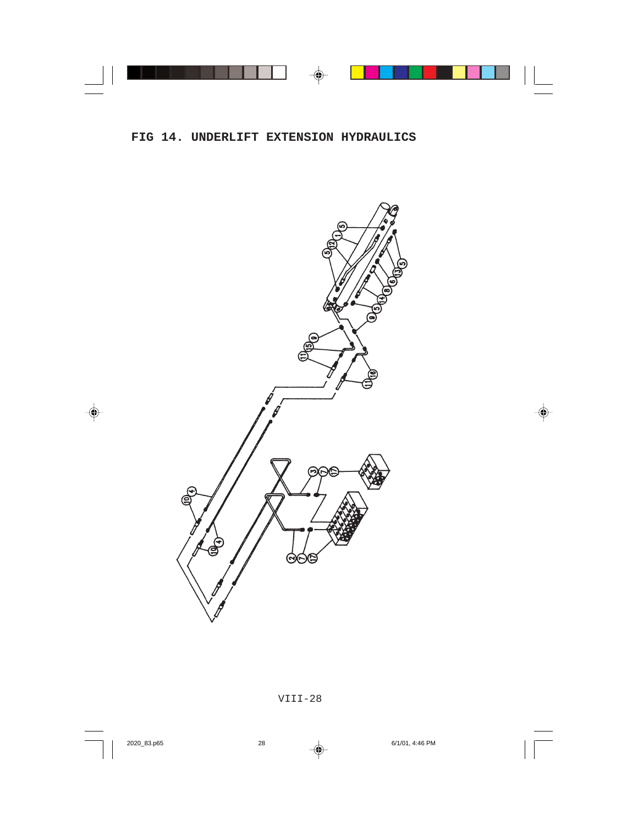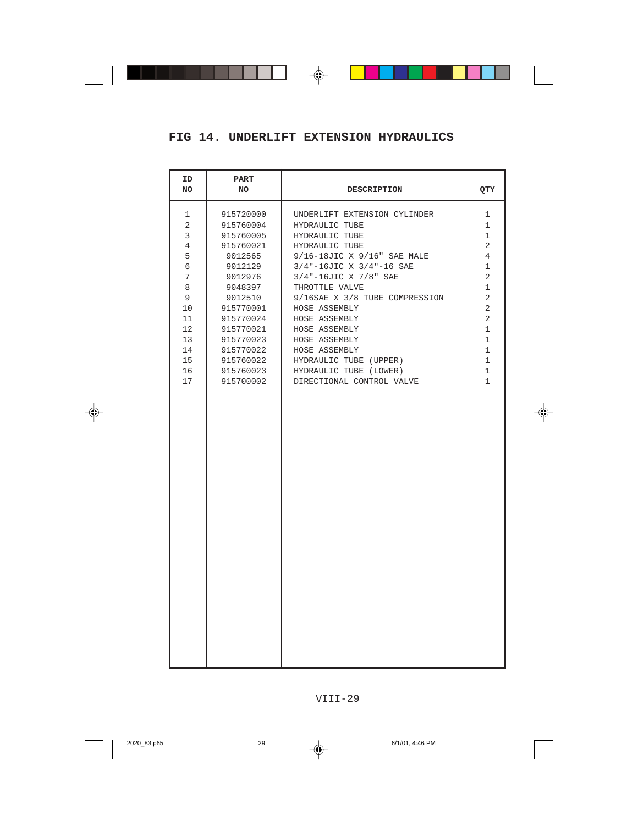#### **FIG 14. UNDERLIFT EXTENSION HYDRAULICS**

| ID<br>NO                                                                                               | PART<br>NO                                                                                                                                                                                                      | <b>DESCRIPTION</b>                                                                                                                                                                                                                                                                                                                                                                               | QTY                                                                                                                                                                                                    |
|--------------------------------------------------------------------------------------------------------|-----------------------------------------------------------------------------------------------------------------------------------------------------------------------------------------------------------------|--------------------------------------------------------------------------------------------------------------------------------------------------------------------------------------------------------------------------------------------------------------------------------------------------------------------------------------------------------------------------------------------------|--------------------------------------------------------------------------------------------------------------------------------------------------------------------------------------------------------|
| 1<br>2<br>3<br>$\overline{4}$<br>5<br>6<br>7<br>8<br>9<br>10<br>11<br>12<br>13<br>14<br>15<br>16<br>17 | 915720000<br>915760004<br>915760005<br>915760021<br>9012565<br>9012129<br>9012976<br>9048397<br>9012510<br>915770001<br>915770024<br>915770021<br>915770023<br>915770022<br>915760022<br>915760023<br>915700002 | UNDERLIFT EXTENSION CYLINDER<br>HYDRAULIC TUBE<br>HYDRAULIC TUBE<br>HYDRAULIC TUBE<br>9/16-18JIC X 9/16" SAE MALE<br>3/4"-16JIC X 3/4"-16 SAE<br>3/4"-16JIC X 7/8" SAE<br>THROTTLE VALVE<br>9/16SAE X 3/8 TUBE COMPRESSION<br>HOSE ASSEMBLY<br>HOSE ASSEMBLY<br>HOSE ASSEMBLY<br>HOSE ASSEMBLY<br>HOSE ASSEMBLY<br>HYDRAULIC TUBE (UPPER)<br>HYDRAULIC TUBE (LOWER)<br>DIRECTIONAL CONTROL VALVE | 1<br>$\mathbf{1}$<br>$\mathbf{1}$<br>2<br>4<br>$\mathbf 1$<br>2<br>$\mathbf 1$<br>2<br>2<br>$\overline{c}$<br>$\mathbf 1$<br>$\mathbf 1$<br>$\mathbf 1$<br>$\mathbf 1$<br>$\mathbf{1}$<br>$\mathbf{1}$ |
|                                                                                                        |                                                                                                                                                                                                                 |                                                                                                                                                                                                                                                                                                                                                                                                  |                                                                                                                                                                                                        |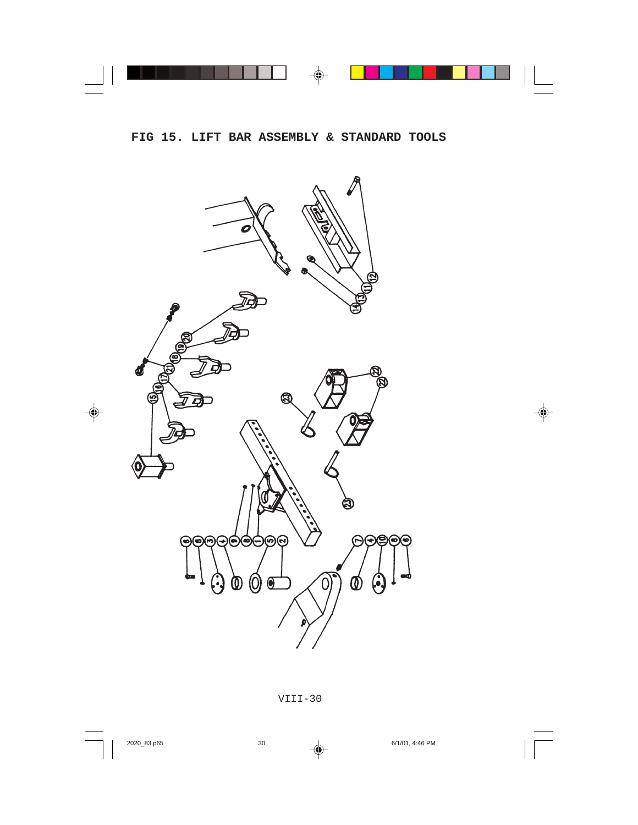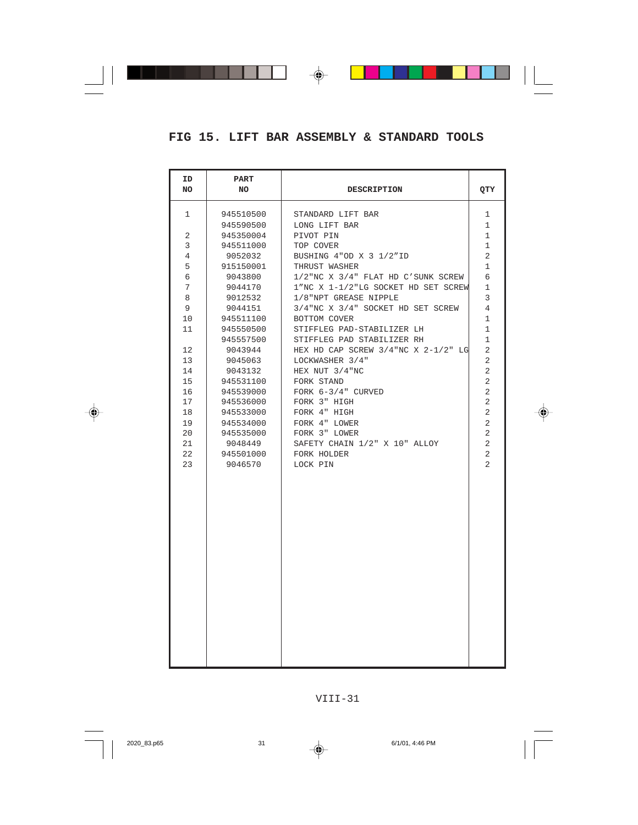| ID<br>NO | <b>PART</b><br>NO.   | <b>DESCRIPTION</b>                  | QTY            |
|----------|----------------------|-------------------------------------|----------------|
| 1        | 945510500            | STANDARD LIFT BAR                   | 1              |
|          | 945590500            | LONG LIFT BAR                       | $\mathbf{1}$   |
| 2        | 945350004            | PIVOT PIN                           | $\mathbf 1$    |
| 3        | 945511000            | TOP COVER                           | $\mathbf 1$    |
| 4        | 9052032              | BUSHING 4"OD X 3 1/2"ID             | $\overline{2}$ |
| 5        | 915150001            | THRUST WASHER                       | $\mathbf{1}$   |
| 6        | 9043800              | 1/2"NC X 3/4" FLAT HD C'SUNK SCREW  | 6              |
| 7        | 9044170              | 1"NC X 1-1/2"LG SOCKET HD SET SCREW | 1              |
| 8        | 9012532              | 1/8"NPT GREASE NIPPLE               | 3              |
| 9        | 9044151              | 3/4"NC X 3/4" SOCKET HD SET SCREW   | 4              |
| 10       | 945511100            | BOTTOM COVER                        | $\mathbf{1}$   |
| 11       | 945550500            | STIFFLEG PAD-STABILIZER LH          | $\mathbf 1$    |
|          | 945557500            | STIFFLEG PAD STABILIZER RH          | $\mathbf{1}$   |
| 12       | 9043944              | HEX HD CAP SCREW 3/4"NC X 2-1/2" LG | 2              |
| 13       | 9045063              | LOCKWASHER 3/4"                     | 2              |
| 14       | 9043132              | HEX NUT 3/4"NC                      | 2              |
| 15       | 945531100            | FORK STAND                          | $\overline{c}$ |
| 16       | 945539000            | FORK 6-3/4" CURVED                  | 2              |
| 17       | 945536000            | FORK 3" HIGH                        | 2              |
| 18       | 945533000            | FORK 4" HIGH                        | 2              |
| 19       | 945534000            | FORK 4" LOWER                       | 2              |
| 20       | 945535000            | FORK 3" LOWER                       | $\overline{a}$ |
| 21       | 9048449              | SAFETY CHAIN 1/2" X 10" ALLOY       | 2              |
| 22<br>23 | 945501000<br>9046570 | FORK HOLDER<br>LOCK PIN             | 2<br>2         |
|          |                      |                                     |                |
|          |                      |                                     |                |
|          |                      |                                     |                |
|          |                      |                                     |                |
|          |                      |                                     |                |
|          |                      |                                     |                |
|          |                      |                                     |                |
|          |                      |                                     |                |
|          |                      |                                     |                |
|          |                      |                                     |                |
|          |                      |                                     |                |
|          |                      |                                     |                |
|          |                      |                                     |                |
|          |                      |                                     |                |
|          |                      |                                     |                |
|          |                      |                                     |                |
|          |                      |                                     |                |
|          |                      |                                     |                |
|          |                      |                                     |                |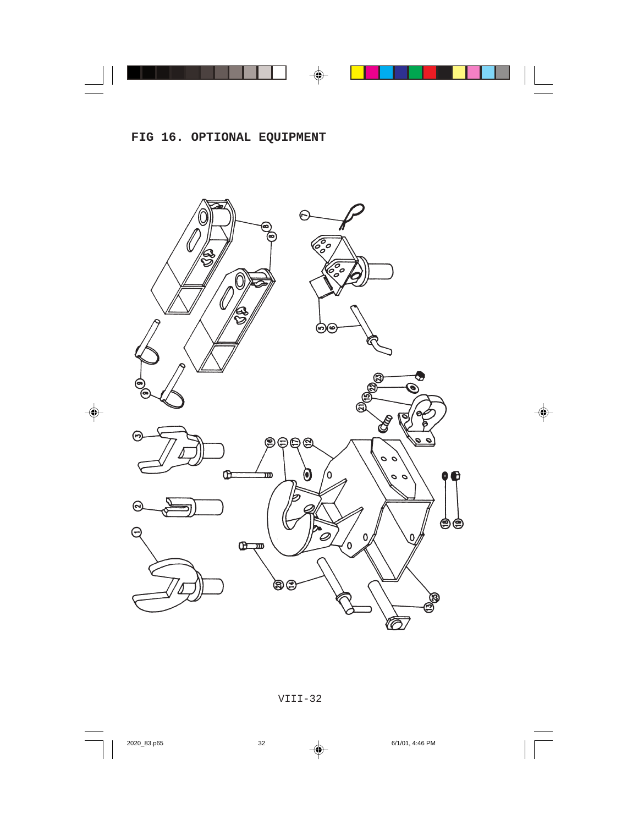## **FIG 16. OPTIONAL EQUIPMENT**

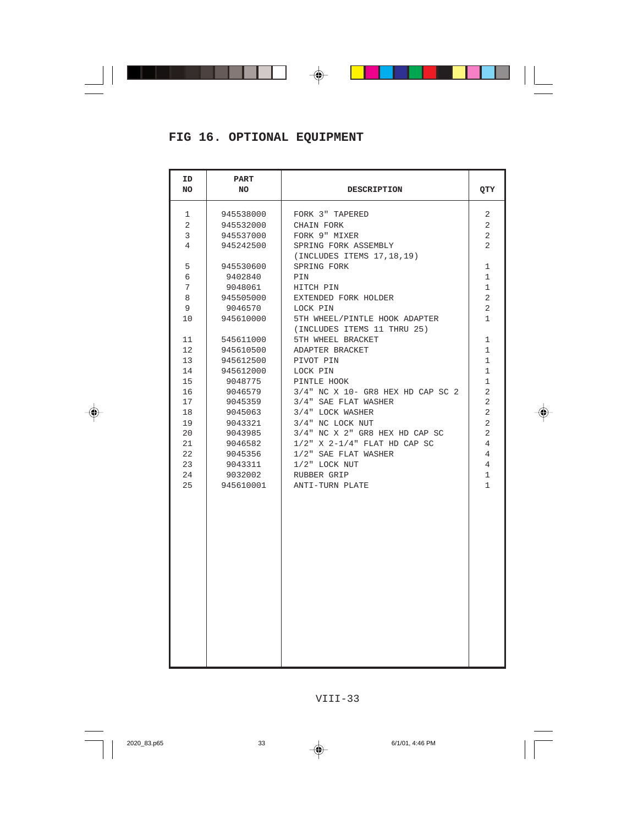| ID<br>NO | <b>PART</b><br>NO | <b>DESCRIPTION</b>                 | QTY            |
|----------|-------------------|------------------------------------|----------------|
| 1        | 945538000         | FORK 3" TAPERED                    | 2              |
| 2        | 945532000         | CHAIN FORK                         | 2              |
| 3        | 945537000         | FORK 9" MIXER                      | 2              |
| 4        | 945242500         | SPRING FORK ASSEMBLY               | 2              |
|          |                   | (INCLUDES ITEMS 17, 18, 19)        |                |
| 5        | 945530600         | SPRING FORK                        | $\mathbf 1$    |
| 6        | 9402840           | PIN                                | $\mathbf 1$    |
| 7        | 9048061           | HITCH PIN                          | $\mathbf 1$    |
| 8        | 945505000         | EXTENDED FORK HOLDER               | 2              |
| 9        | 9046570           | LOCK PIN                           | 2              |
| 10       | 945610000         | 5TH WHEEL/PINTLE HOOK ADAPTER      | $\mathbf 1$    |
|          |                   | (INCLUDES ITEMS 11 THRU 25)        |                |
| 11       | 545611000         | 5TH WHEEL BRACKET                  | 1              |
| 12       | 945610500         | ADAPTER BRACKET                    | $\mathbf{1}$   |
| 13       | 945612500         | PIVOT PIN                          | $\mathbf 1$    |
| 14       | 945612000         | LOCK PIN                           | $\mathbf{1}$   |
| 15       | 9048775           | PINTLE HOOK                        | 1              |
| 16       | 9046579           | 3/4" NC X 10- GR8 HEX HD CAP SC 2  | 2              |
| 17       | 9045359           | 3/4" SAE FLAT WASHER               | 2              |
| 18       | 9045063           | 3/4" LOCK WASHER                   | 2              |
| 19       | 9043321           | 3/4" NC LOCK NUT                   | $\overline{c}$ |
| 20       | 9043985           | 3/4" NC X 2" GR8 HEX HD CAP SC     | 2              |
| 21       | 9046582           | $1/2$ " X $2-1/4$ " FLAT HD CAP SC | $\overline{4}$ |
| 22       | 9045356           | 1/2" SAE FLAT WASHER               | 4              |
| 23       | 9043311           | 1/2" LOCK NUT                      | 4              |
| 24       | 9032002           | RUBBER GRIP                        | $\mathbf 1$    |
| 25       | 945610001         | ANTI-TURN PLATE                    | $\mathbf 1$    |
|          |                   |                                    |                |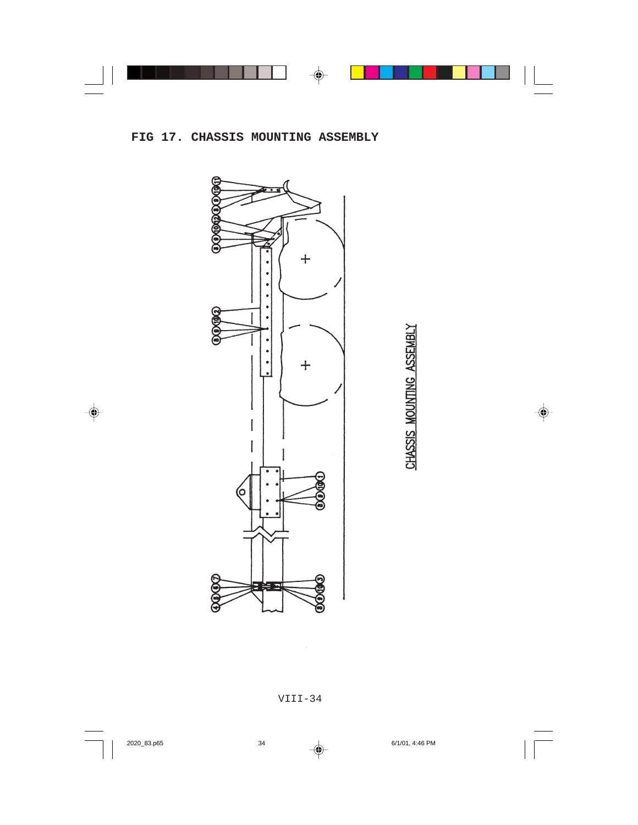

CHASSIS MOUNTING ASSEMBLY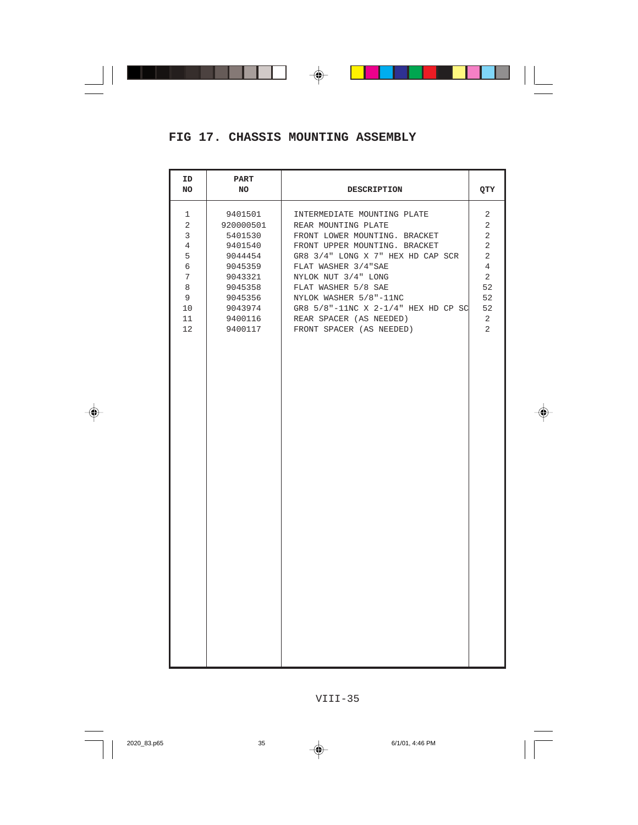| ID<br>NO       | PART<br>NO | <b>DESCRIPTION</b>                  | QTY            |
|----------------|------------|-------------------------------------|----------------|
| 1              | 9401501    | INTERMEDIATE MOUNTING PLATE         | 2              |
| $\overline{c}$ | 920000501  | REAR MOUNTING PLATE                 | $\overline{c}$ |
| 3              | 5401530    | FRONT LOWER MOUNTING. BRACKET       | 2              |
| $\overline{4}$ | 9401540    | FRONT UPPER MOUNTING. BRACKET       | $\overline{c}$ |
| 5              | 9044454    | GR8 3/4" LONG X 7" HEX HD CAP SCR   | $\overline{c}$ |
| 6              | 9045359    | FLAT WASHER 3/4"SAE                 | $\overline{4}$ |
| 7              | 9043321    | NYLOK NUT 3/4" LONG                 | 2              |
| 8              | 9045358    | FLAT WASHER 5/8 SAE                 | 52             |
| 9              | 9045356    | NYLOK WASHER 5/8"-11NC              | 52             |
| 10             | 9043974    | GR8 5/8"-11NC X 2-1/4" HEX HD CP SC | 52             |
| 11             | 9400116    | REAR SPACER (AS NEEDED)             | 2              |
| 12             | 9400117    | FRONT SPACER (AS NEEDED)            | 2              |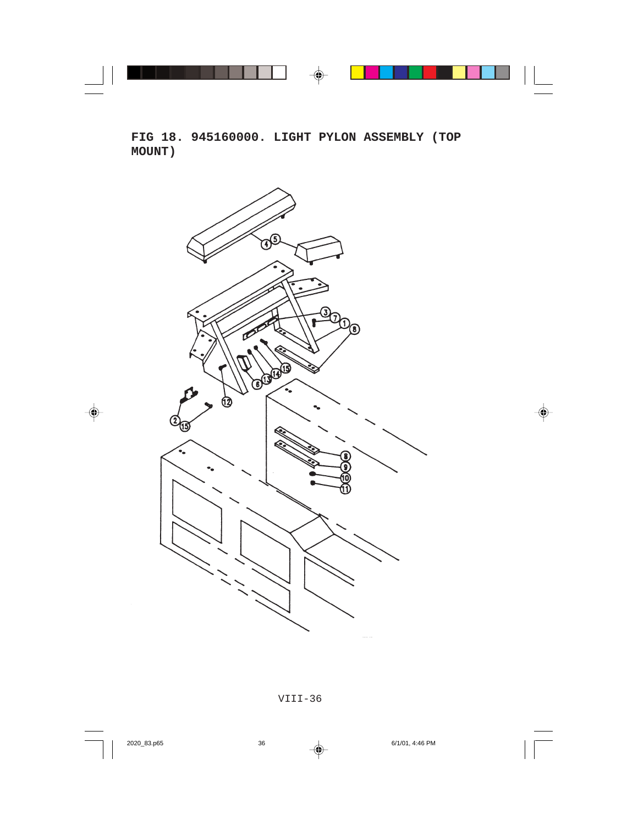**FIG 18. 945160000. LIGHT PYLON ASSEMBLY (TOP MOUNT)**

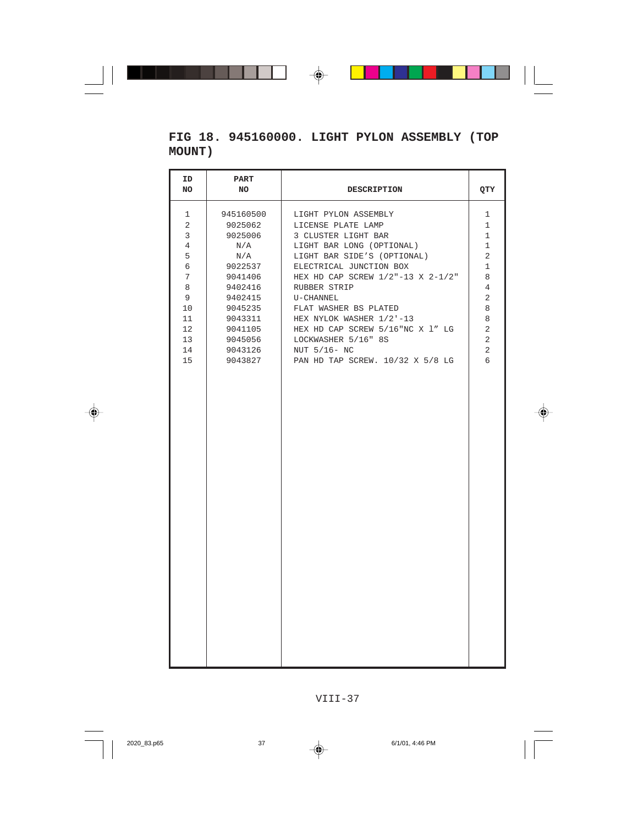**FIG 18. 945160000. LIGHT PYLON ASSEMBLY (TOP MOUNT)**

| ID<br>NO       | PART<br>NO         | <b>DESCRIPTION</b>                               | QTY                 |
|----------------|--------------------|--------------------------------------------------|---------------------|
| 1              | 945160500          | LIGHT PYLON ASSEMBLY                             | 1                   |
| 2              | 9025062            | LICENSE PLATE LAMP                               | $\mathbf{1}$        |
| 3              | 9025006            | 3 CLUSTER LIGHT BAR                              | $\mathbf{1}$        |
| $\overline{4}$ | N/A                | LIGHT BAR LONG (OPTIONAL)                        | $\mathbf{1}$        |
| 5              | N/A                | LIGHT BAR SIDE'S (OPTIONAL)                      | $\overline{c}$      |
| 6              | 9022537            | ELECTRICAL JUNCTION BOX                          | $\mathbf 1$         |
| 7              | 9041406            | HEX HD CAP SCREW 1/2"-13 X 2-1/2"                | 8                   |
| 8              | 9402416            | RUBBER STRIP                                     | 4                   |
| 9              | 9402415            | U-CHANNEL                                        | 2                   |
| 10             | 9045235            | FLAT WASHER BS PLATED                            | 8                   |
| 11             | 9043311            | HEX NYLOK WASHER 1/2'-13                         | 8                   |
| 12             | 9041105            | HEX HD CAP SCREW 5/16"NC X 1" LG                 | $\overline{c}$      |
| 13             | 9045056            | LOCKWASHER 5/16" 8S                              | 2                   |
| 14<br>15       | 9043126<br>9043827 | NUT 5/16- NC<br>PAN HD TAP SCREW. 10/32 X 5/8 LG | $\overline{c}$<br>6 |
|                |                    |                                                  |                     |
|                |                    |                                                  |                     |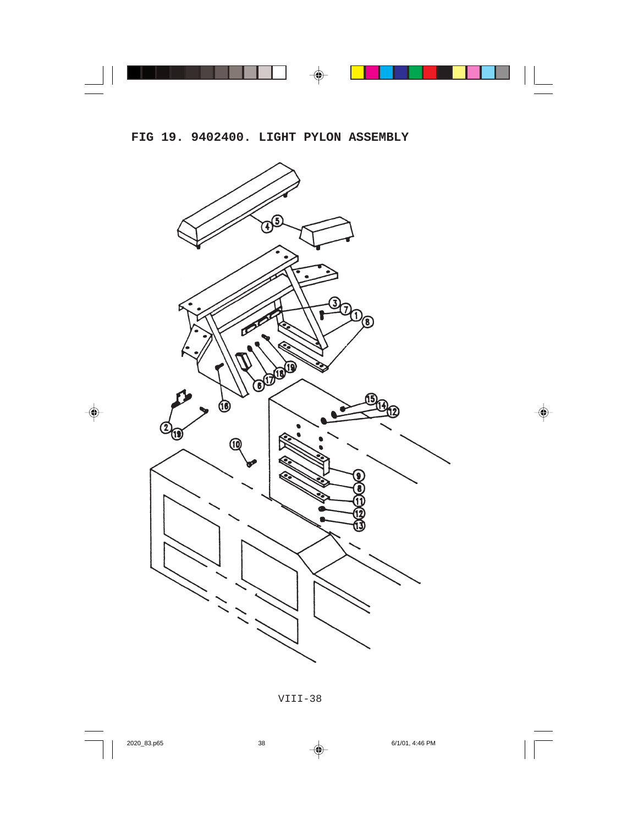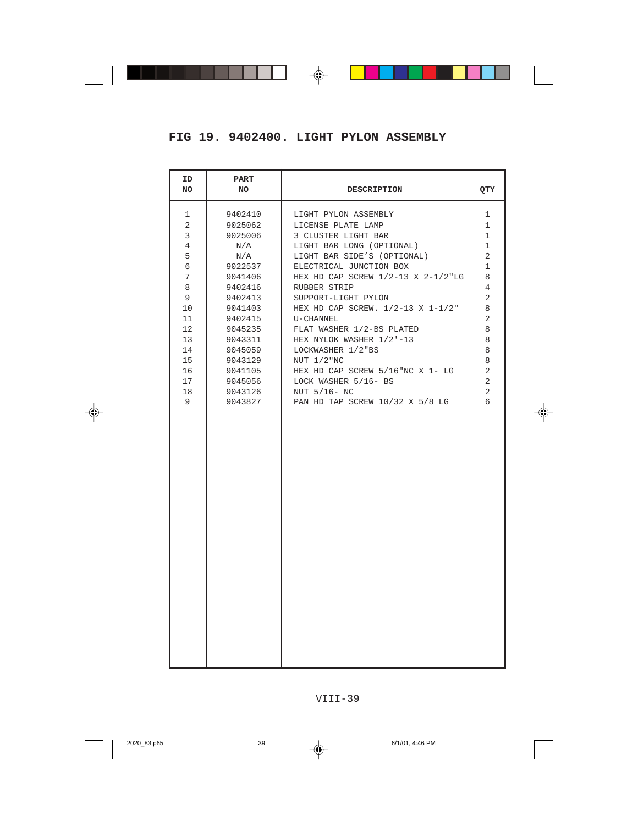#### **FIG 19. 9402400. LIGHT PYLON ASSEMBLY**

| ID<br>NO       | PART<br>NO | <b>DESCRIPTION</b>                      | QTY            |
|----------------|------------|-----------------------------------------|----------------|
| 1              | 9402410    | LIGHT PYLON ASSEMBLY                    | $\mathbf 1$    |
| 2              | 9025062    | LICENSE PLATE LAMP                      | $\mathbf 1$    |
| 3              | 9025006    | 3 CLUSTER LIGHT BAR                     | $\mathbf 1$    |
| $\overline{4}$ | N/A        | LIGHT BAR LONG (OPTIONAL)               | $\mathbf 1$    |
| 5              | N/A        | LIGHT BAR SIDE'S (OPTIONAL)             | $\overline{c}$ |
| 6              | 9022537    | ELECTRICAL JUNCTION BOX                 | $\mathbf 1$    |
| 7              | 9041406    | HEX HD CAP SCREW $1/2-13$ X $2-1/2$ "LG | 8              |
| 8              | 9402416    | RUBBER STRIP                            | $\overline{4}$ |
| 9              | 9402413    | SUPPORT-LIGHT PYLON                     | 2              |
| 10             | 9041403    | HEX HD CAP SCREW. 1/2-13 X 1-1/2"       | 8              |
| 11             | 9402415    | U-CHANNEL                               | $\overline{c}$ |
| 12             | 9045235    | FLAT WASHER 1/2-BS PLATED               | 8              |
| 13             | 9043311    | HEX NYLOK WASHER 1/2'-13                | 8              |
| 14             | 9045059    | LOCKWASHER 1/2"BS                       | 8              |
| 15             | 9043129    | NUT $1/2$ "NC                           | 8              |
| 16             | 9041105    | HEX HD CAP SCREW 5/16"NC X 1- LG        | 2              |
| 17             | 9045056    | LOCK WASHER 5/16- BS                    | 2              |
| 18             | 9043126    | NUT 5/16- NC                            | 2              |
| 9              | 9043827    | PAN HD TAP SCREW 10/32 X 5/8 LG         | 6              |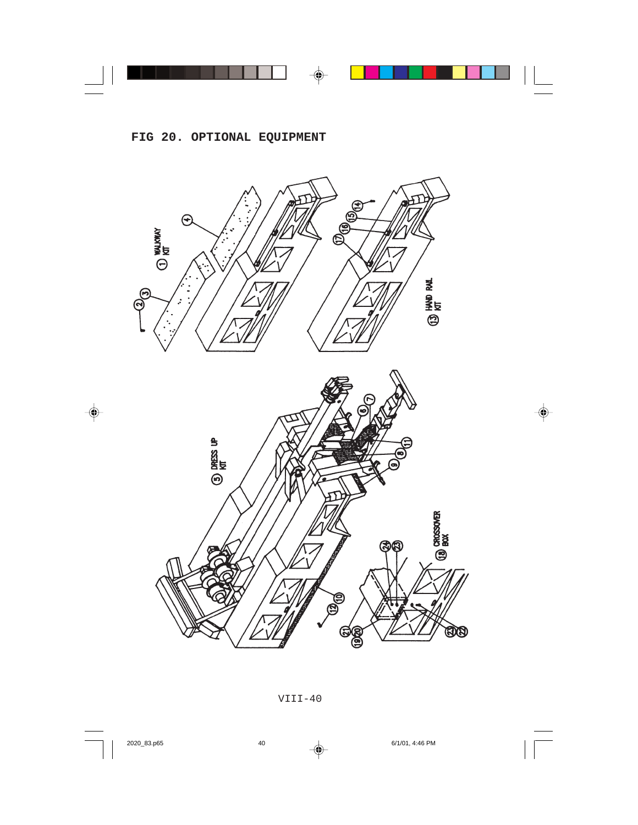#### **FIG 20. OPTIONAL EQUIPMENT**

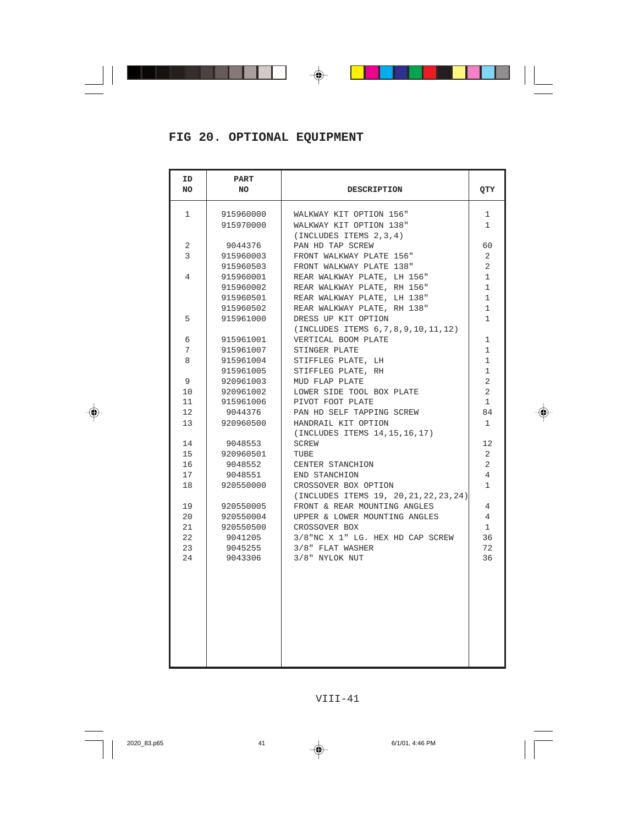| ID<br>NO | PART<br>NO | <b>DESCRIPTION</b>                                     | QTY            |
|----------|------------|--------------------------------------------------------|----------------|
| 1        | 915960000  | WALKWAY KIT OPTION 156"                                | 1              |
|          | 915970000  | WALKWAY KIT OPTION 138"                                | $\mathbf 1$    |
|          |            | (INCLUDES ITEMS 2, 3, 4)                               |                |
| 2        | 9044376    | PAN HD TAP SCREW                                       | 60             |
| 3        | 915960003  | FRONT WALKWAY PLATE 156"                               | 2              |
|          | 915960503  | FRONT WALKWAY PLATE 138"                               | $\overline{a}$ |
| 4        | 915960001  | REAR WALKWAY PLATE, LH 156"                            | $\mathbf{1}$   |
|          | 915960002  | REAR WALKWAY PLATE, RH 156"                            | $\mathbf 1$    |
|          | 915960501  | REAR WALKWAY PLATE, LH 138"                            | $\mathbf 1$    |
|          | 915960502  | REAR WALKWAY PLATE, RH 138"                            | $\mathbf 1$    |
| 5        | 915961000  | DRESS UP KIT OPTION                                    | 1              |
|          |            | (INCLUDES ITEMS 6, 7, 8, 9, 10, 11, 12)                |                |
| 6        | 915961001  | VERTICAL BOOM PLATE                                    | 1              |
| 7        | 915961007  | STINGER PLATE                                          | $\mathbf{1}$   |
| 8        | 915961004  | STIFFLEG PLATE, LH                                     | $\mathbf{1}$   |
|          | 915961005  | STIFFLEG PLATE, RH                                     | $\mathbf{1}$   |
| 9        | 920961003  | MUD FLAP PLATE                                         | 2              |
| 10       | 920961002  | LOWER SIDE TOOL BOX PLATE                              | 2              |
| 11       | 915961006  | PIVOT FOOT PLATE                                       | $\mathbf 1$    |
| 12       | 9044376    | PAN HD SELF TAPPING SCREW                              | 84             |
| 13       | 920960500  | HANDRAIL KIT OPTION<br>(INCLUDES ITEMS 14, 15, 16, 17) | $\mathbf{1}$   |
| 14       | 9048553    | SCREW                                                  | 12             |
| 15       | 920960501  | TUBE                                                   | 2              |
| 16       | 9048552    | CENTER STANCHION                                       | 2              |
| 17       | 9048551    | END STANCHION                                          | $\overline{4}$ |
| 18       | 920550000  | CROSSOVER BOX OPTION                                   | $\mathbf{1}$   |
|          |            | (INCLUDES ITEMS 19, 20, 21, 22, 23, 24)                |                |
| 19       | 920550005  | FRONT & REAR MOUNTING ANGLES                           | $\overline{4}$ |
| 20       | 920550004  | UPPER & LOWER MOUNTING ANGLES                          | $\overline{4}$ |
| 21       | 920550500  | CROSSOVER BOX                                          | $\mathbf{1}$   |
| 22       | 9041205    | 3/8"NC X 1" LG. HEX HD CAP SCREW                       | 36             |
| 23       | 9045255    | 3/8" FLAT WASHER                                       | 72             |
| 24       | 9043306    | 3/8" NYLOK NUT                                         | 36             |
|          |            |                                                        |                |
|          |            |                                                        |                |
|          |            |                                                        |                |
|          |            |                                                        |                |
|          |            |                                                        |                |
|          |            |                                                        |                |
|          |            |                                                        |                |
|          |            |                                                        |                |
|          |            |                                                        |                |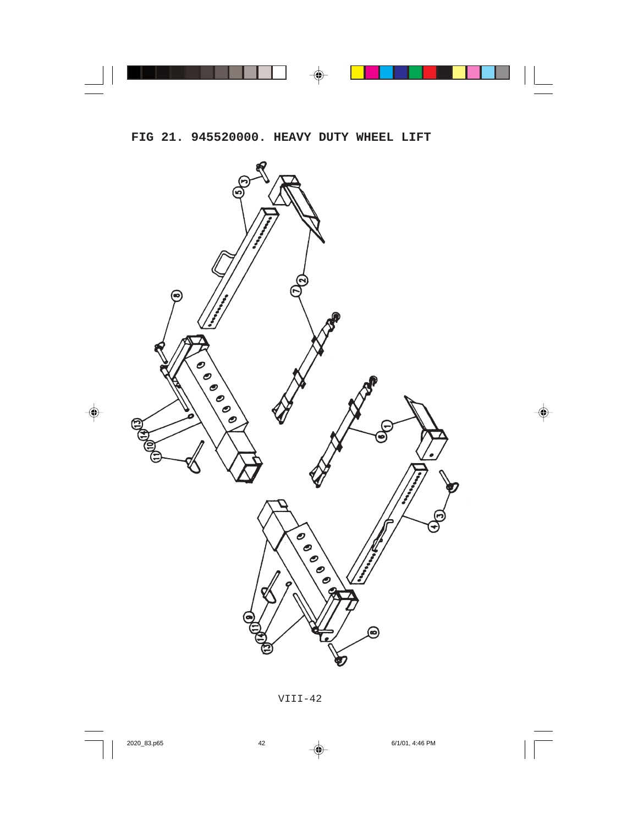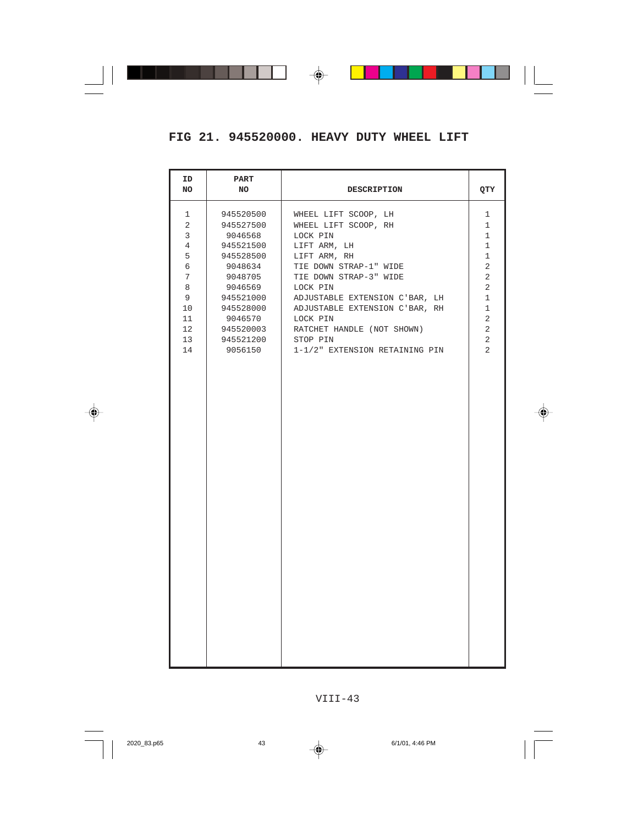| ID<br>NO       | PART<br>NO | <b>DESCRIPTION</b>             | QTY            |
|----------------|------------|--------------------------------|----------------|
| 1              | 945520500  | WHEEL LIFT SCOOP, LH           | 1              |
| 2              | 945527500  | WHEEL LIFT SCOOP, RH           | $\mathbf 1$    |
| 3              | 9046568    | LOCK PIN                       | $\mathbf 1$    |
| $\overline{4}$ | 945521500  | ${\tt LIFT}$ ARM, ${\tt LH}$   | $\mathbf{1}$   |
| 5              | 945528500  | LIFT ARM, RH                   | $\mathbf 1$    |
| 6              | 9048634    | TIE DOWN STRAP-1" WIDE         | 2              |
| 7              | 9048705    | TIE DOWN STRAP-3" WIDE         | 2              |
| 8              | 9046569    | LOCK PIN                       | 2              |
| 9              | 945521000  | ADJUSTABLE EXTENSION C'BAR, LH | $\mathbf 1$    |
| 10             | 945528000  | ADJUSTABLE EXTENSION C'BAR, RH | $\mathbf 1$    |
| 11             | 9046570    | LOCK PIN                       | $\overline{c}$ |
| 12             | 945520003  | RATCHET HANDLE (NOT SHOWN)     | 2              |
| 13             | 945521200  | STOP PIN                       | 2              |
| 14             | 9056150    | 1-1/2" EXTENSION RETAINING PIN | 2              |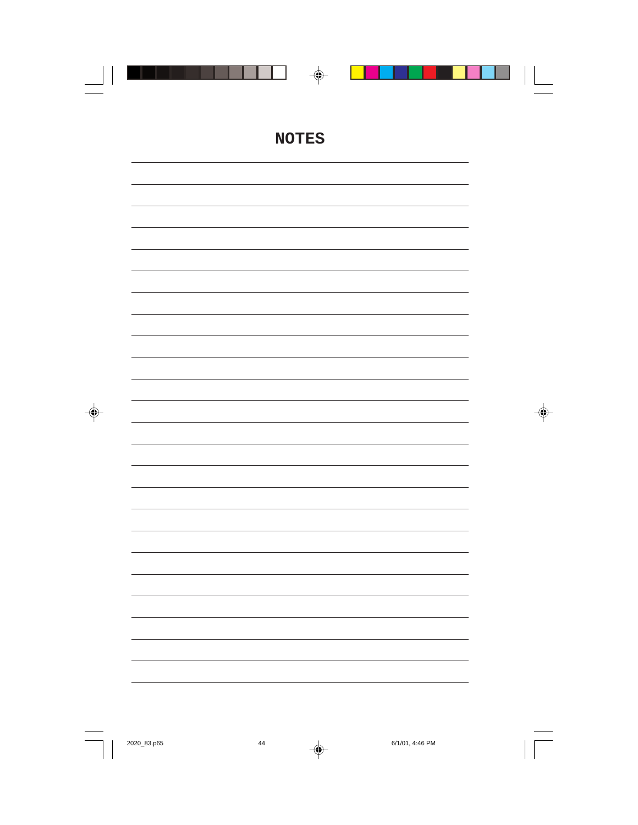# **NOTES**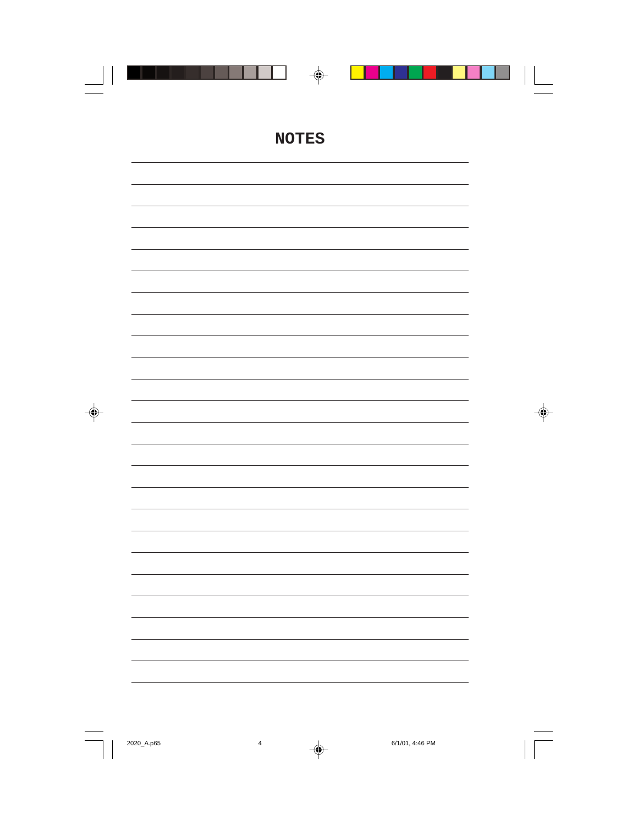# **NOTES**